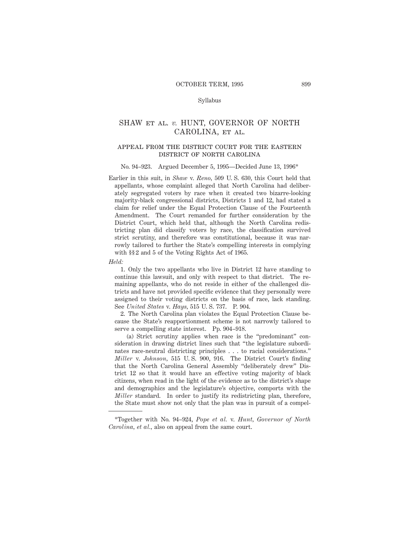### Syllabus

# SHAW et al. *v.* HUNT, GOVERNOR OF NORTH CAROLINA, ET AL.

### appeal from the district court for the easterndistrict of north carolina

### No. 94–923. Argued December 5, 1995—Decided June 13, 1996\*

Earlier in this suit, in *Shaw* v. *Reno,* 509 U. S. 630, this Court held that appellants, whose complaint alleged that North Carolina had deliberately segregated voters by race when it created two bizarre-looking majority-black congressional districts, Districts 1 and 12, had stated a claim for relief under the Equal Protection Clause of the Fourteenth Amendment. The Court remanded for further consideration by the District Court, which held that, although the North Carolina redistricting plan did classify voters by race, the classification survived strict scrutiny, and therefore was constitutional, because it was narrowly tailored to further the State's compelling interests in complying with §§ 2 and 5 of the Voting Rights Act of 1965.

#### *Held:*

1. Only the two appellants who live in District 12 have standing to continue this lawsuit, and only with respect to that district. The remaining appellants, who do not reside in either of the challenged districts and have not provided specific evidence that they personally were assigned to their voting districts on the basis of race, lack standing. See *United States* v. *Hays,* 515 U. S. 737. P. 904.

2. The North Carolina plan violates the Equal Protection Clause because the State's reapportionment scheme is not narrowly tailored to serve a compelling state interest. Pp. 904–918.

(a) Strict scrutiny applies when race is the "predominant" consideration in drawing district lines such that "the legislature subordinates race-neutral districting principles . . . to racial considerations." *Miller* v. *Johnson,* 515 U. S. 900, 916. The District Court's finding that the North Carolina General Assembly "deliberately drew" District 12 so that it would have an effective voting majority of black citizens, when read in the light of the evidence as to the district's shape and demographics and the legislature's objective, comports with the *Miller* standard. In order to justify its redistricting plan, therefore, the State must show not only that the plan was in pursuit of a compel-

<sup>\*</sup>Together with No. 94–924, *Pope et al.* v. *Hunt, Governor of North Carolina, et al.,* also on appeal from the same court.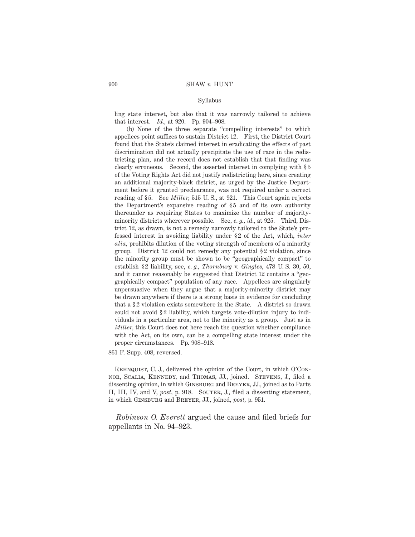### Syllabus

ling state interest, but also that it was narrowly tailored to achieve that interest. *Id.,* at 920. Pp. 904–908.

(b) None of the three separate "compelling interests" to which appellees point suffices to sustain District 12. First, the District Court found that the State's claimed interest in eradicating the effects of past discrimination did not actually precipitate the use of race in the redistricting plan, and the record does not establish that that finding was clearly erroneous. Second, the asserted interest in complying with § 5 of the Voting Rights Act did not justify redistricting here, since creating an additional majority-black district, as urged by the Justice Department before it granted preclearance, was not required under a correct reading of § 5. See *Miller,* 515 U. S., at 921. This Court again rejects the Department's expansive reading of § 5 and of its own authority thereunder as requiring States to maximize the number of majorityminority districts wherever possible. See, *e. g., id.,* at 925. Third, District 12, as drawn, is not a remedy narrowly tailored to the State's professed interest in avoiding liability under § 2 of the Act, which, *inter alia,* prohibits dilution of the voting strength of members of a minority group. District 12 could not remedy any potential § 2 violation, since the minority group must be shown to be "geographically compact" to establish § 2 liability, see, *e. g., Thornburg* v. *Gingles,* 478 U. S. 30, 50, and it cannot reasonably be suggested that District 12 contains a "geographically compact" population of any race. Appellees are singularly unpersuasive when they argue that a majority-minority district may be drawn anywhere if there is a strong basis in evidence for concluding that a § 2 violation exists somewhere in the State. A district so drawn could not avoid §2 liability, which targets vote-dilution injury to individuals in a particular area, not to the minority as a group. Just as in *Miller,* this Court does not here reach the question whether compliance with the Act, on its own, can be a compelling state interest under the proper circumstances. Pp. 908–918.

861 F. Supp. 408, reversed.

REHNQUIST, C. J., delivered the opinion of the Court, in which O'Connor, Scalia, Kennedy, and Thomas, JJ., joined. Stevens, J., filed a dissenting opinion, in which Ginsburg and Breyer, JJ., joined as to Parts II, III, IV, and V, *post*, p. 918. SOUTER, J., filed a dissenting statement, in which Ginsburg and Breyer, JJ., joined, *post,* p. 951.

*Robinson O. Everett* argued the cause and filed briefs for appellants in No. 94–923.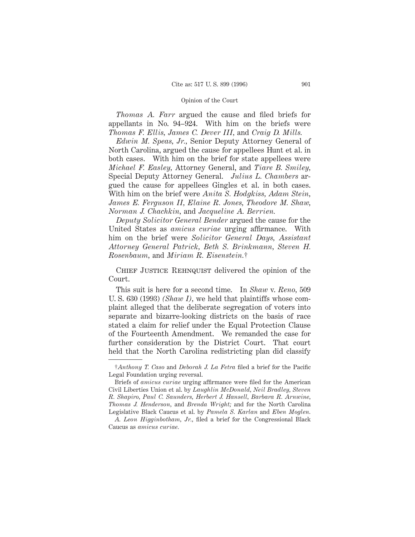*Thomas A. Farr* argued the cause and filed briefs for appellants in No. 94–924. With him on the briefs were *Thomas F. Ellis, James C. Dever III,* and *Craig D. Mills.*

*Edwin M. Speas, Jr.,* Senior Deputy Attorney General of North Carolina, argued the cause for appellees Hunt et al. in both cases. With him on the brief for state appellees were *Michael F. Easley,* Attorney General, and *Tiare B. Smiley,* Special Deputy Attorney General. *Julius L. Chambers* argued the cause for appellees Gingles et al. in both cases. With him on the brief were *Anita S. Hodgkiss, Adam Stein, James E. Ferguson II, Elaine R. Jones, Theodore M. Shaw, Norman J. Chachkin,* and *Jacqueline A. Berrien.*

*Deputy Solicitor General Bender* argued the cause for the United States as *amicus curiae* urging affirmance. With him on the brief were *Solicitor General Days, Assistant Attorney General Patrick, Beth S. Brinkmann, Steven H. Rosenbaum,* and *Miriam R. Eisenstein.*†

CHIEF JUSTICE REHNQUIST delivered the opinion of the Court.

This suit is here for a second time. In *Shaw* v. *Reno,* 509 U. S. 630 (1993) *(Shaw I),* we held that plaintiffs whose complaint alleged that the deliberate segregation of voters into separate and bizarre-looking districts on the basis of race stated a claim for relief under the Equal Protection Clause of the Fourteenth Amendment. We remanded the case for further consideration by the District Court. That court held that the North Carolina redistricting plan did classify

<sup>†</sup>*Anthony T. Caso* and *Deborah J. La Fetra* filed a brief for the Pacific Legal Foundation urging reversal.

Briefs of *amicus curiae* urging affirmance were filed for the American Civil Liberties Union et al. by *Laughlin McDonald, Neil Bradley, Steven R. Shapiro, Paul C. Saunders, Herbert J. Hansell, Barbara R. Arnwine, Thomas J. Henderson,* and *Brenda Wright;* and for the North Carolina Legislative Black Caucus et al. by *Pamela S. Karlan* and *Eben Moglen.*

*A. Leon Higginbotham, Jr.,* filed a brief for the Congressional Black Caucus as *amicus curiae.*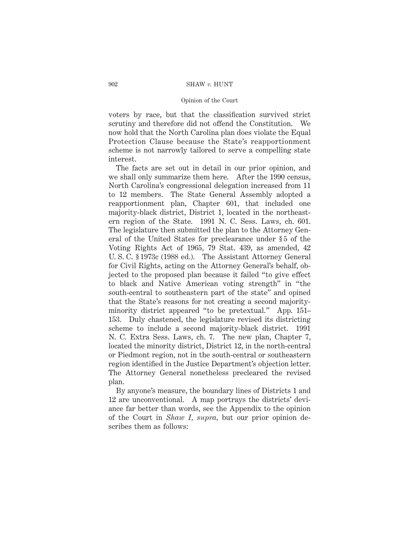### 902 SHAW *v.* HUNT

### Opinion of the Court

voters by race, but that the classification survived strict scrutiny and therefore did not offend the Constitution. We now hold that the North Carolina plan does violate the Equal Protection Clause because the State's reapportionment scheme is not narrowly tailored to serve a compelling state interest.

The facts are set out in detail in our prior opinion, and we shall only summarize them here. After the 1990 census, North Carolina's congressional delegation increased from 11 to 12 members. The State General Assembly adopted a reapportionment plan, Chapter 601, that included one majority-black district, District 1, located in the northeastern region of the State. 1991 N. C. Sess. Laws, ch. 601. The legislature then submitted the plan to the Attorney General of the United States for preclearance under § 5 of the Voting Rights Act of 1965, 79 Stat. 439, as amended, 42 U. S. C. § 1973c (1988 ed.). The Assistant Attorney General for Civil Rights, acting on the Attorney General's behalf, objected to the proposed plan because it failed "to give effect to black and Native American voting strength" in "the south-central to southeastern part of the state" and opined that the State's reasons for not creating a second majorityminority district appeared "to be pretextual." App. 151– 153. Duly chastened, the legislature revised its districting scheme to include a second majority-black district. 1991 N. C. Extra Sess. Laws, ch. 7. The new plan, Chapter 7, located the minority district, District 12, in the north-central or Piedmont region, not in the south-central or southeastern region identified in the Justice Department's objection letter. The Attorney General nonetheless precleared the revised plan.

By anyone's measure, the boundary lines of Districts 1 and 12 are unconventional. A map portrays the districts' deviance far better than words, see the Appendix to the opinion of the Court in *Shaw I, supra,* but our prior opinion describes them as follows: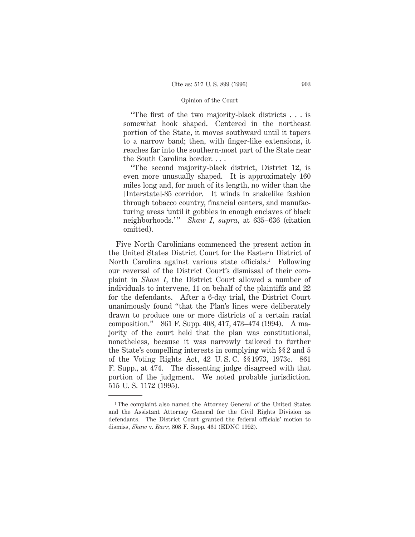"The first of the two majority-black districts . . . is somewhat hook shaped. Centered in the northeast portion of the State, it moves southward until it tapers to a narrow band; then, with finger-like extensions, it reaches far into the southern-most part of the State near the South Carolina border....

"The second majority-black district, District 12, is even more unusually shaped. It is approximately 160 miles long and, for much of its length, no wider than the [Interstate]-85 corridor. It winds in snakelike fashion through tobacco country, financial centers, and manufacturing areas 'until it gobbles in enough enclaves of black neighborhoods.'" *Shaw I, supra,* at 635–636 (citation omitted).

Five North Carolinians commenced the present action in the United States District Court for the Eastern District of North Carolina against various state officials.<sup>1</sup> Following our reversal of the District Court's dismissal of their complaint in *Shaw I,* the District Court allowed a number of individuals to intervene, 11 on behalf of the plaintiffs and 22 for the defendants. After a 6-day trial, the District Court unanimously found "that the Plan's lines were deliberately drawn to produce one or more districts of a certain racial composition." 861 F. Supp. 408, 417, 473–474 (1994). A majority of the court held that the plan was constitutional, nonetheless, because it was narrowly tailored to further the State's compelling interests in complying with §§ 2 and 5 of the Voting Rights Act, 42 U. S. C. §§ 1973, 1973c. 861 F. Supp., at 474. The dissenting judge disagreed with that portion of the judgment. We noted probable jurisdiction. 515 U. S. 1172 (1995).

<sup>&</sup>lt;sup>1</sup>The complaint also named the Attorney General of the United States and the Assistant Attorney General for the Civil Rights Division as defendants. The District Court granted the federal officials' motion to dismiss, *Shaw* v. *Barr,* 808 F. Supp. 461 (EDNC 1992).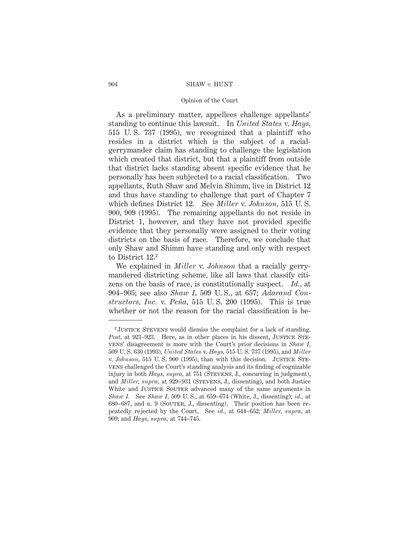### 904 SHAW *v.* HUNT

### Opinion of the Court

As a preliminary matter, appellees challenge appellants' standing to continue this lawsuit. In *United States* v. *Hays,* 515 U. S. 737 (1995), we recognized that a plaintiff who resides in a district which is the subject of a racialgerrymander claim has standing to challenge the legislation which created that district, but that a plaintiff from outside that district lacks standing absent specific evidence that he personally has been subjected to a racial classification. Two appellants, Ruth Shaw and Melvin Shimm, live in District 12 and thus have standing to challenge that part of Chapter 7 which defines District 12. See *Miller* v. *Johnson,* 515 U. S. 900, 909 (1995). The remaining appellants do not reside in District 1, however, and they have not provided specific evidence that they personally were assigned to their voting districts on the basis of race. Therefore, we conclude that only Shaw and Shimm have standing and only with respect to District 12.<sup>2</sup>

We explained in *Miller* v. *Johnson* that a racially gerrymandered districting scheme, like all laws that classify citizens on the basis of race, is constitutionally suspect. *Id.,* at 904–905; see also *Shaw I,* 509 U. S., at 657; *Adarand Constructors, Inc.* v. *Pen˜ a,* 515 U. S. 200 (1995). This is true whether or not the reason for the racial classification is be-

<sup>&</sup>lt;sup>2</sup> JUSTICE STEVENS would dismiss the complaint for a lack of standing. *Post*, at 921–923. Here, as in other places in his dissent, JUSTICE STEvens' disagreement is more with the Court's prior decisions in *Shaw I,* 509 U. S. 630 (1993), *United States* v. *Hays,* 515 U. S. 737 (1995), and *Miller* v. *Johnson,* 515 U. S. 900 (1995), than with this decision. Justice Stevens challenged the Court's standing analysis and its finding of cognizable injury in both *Haus, supra,* at 751 (STEVENS, J., concurring in judgment), and *Miller, supra,* at 929–931 (Stevens, J., dissenting), and both Justice White and JUSTICE SOUTER advanced many of the same arguments in *Shaw I.* See *Shaw I,* 509 U. S., at 659–674 (White, J., dissenting); *id.,* at 680–687, and n. 9 (SOUTER, J., dissenting). Their position has been repeatedly rejected by the Court. See *id.,* at 644–652; *Miller, supra,* at 909; and *Hays, supra,* at 744–745.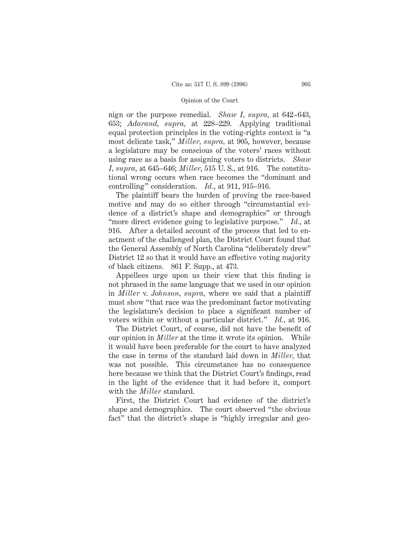nign or the purpose remedial. *Shaw I, supra,* at 642–643, 653; *Adarand, supra,* at 228–229. Applying traditional equal protection principles in the voting-rights context is "a most delicate task," *Miller, supra,* at 905, however, because a legislature may be conscious of the voters' races without using race as a basis for assigning voters to districts. *Shaw I, supra,* at 645–646; *Miller*, 515 U. S., at 916. The constitutional wrong occurs when race becomes the "dominant and controlling" consideration. *Id.*, at 911, 915–916.

The plaintiff bears the burden of proving the race-based motive and may do so either through "circumstantial evidence of a district's shape and demographics" or through "more direct evidence going to legislative purpose." *Id.,* at 916. After a detailed account of the process that led to enactment of the challenged plan, the District Court found that the General Assembly of North Carolina "deliberately drew" District 12 so that it would have an effective voting majority of black citizens. 861 F. Supp., at 473.

Appellees urge upon us their view that this finding is not phrased in the same language that we used in our opinion in *Miller* v. *Johnson, supra,* where we said that a plaintiff must show "that race was the predominant factor motivating the legislature's decision to place a significant number of voters within or without a particular district." *Id.,* at 916.

The District Court, of course, did not have the benefit of our opinion in *Miller* at the time it wrote its opinion. While it would have been preferable for the court to have analyzed the case in terms of the standard laid down in *Miller,* that was not possible. This circumstance has no consequence here because we think that the District Court's findings, read in the light of the evidence that it had before it, comport with the *Miller* standard.

First, the District Court had evidence of the district's shape and demographics. The court observed "the obvious fact" that the district's shape is "highly irregular and geo-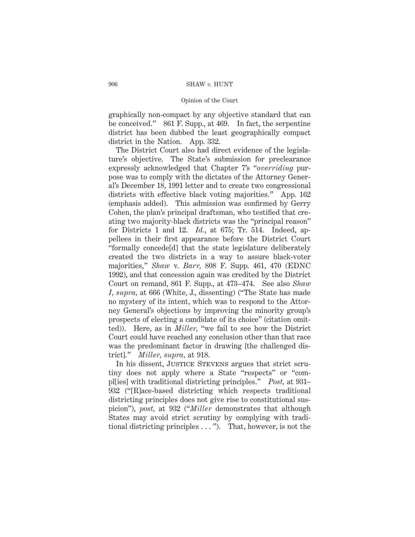### 906 SHAW *v.* HUNT

### Opinion of the Court

graphically non-compact by any objective standard that can be conceived." 861 F. Supp., at 469. In fact, the serpentine district has been dubbed the least geographically compact district in the Nation. App. 332.

The District Court also had direct evidence of the legislature's objective. The State's submission for preclearance expressly acknowledged that Chapter 7's "*overriding* purpose was to comply with the dictates of the Attorney General's December 18, 1991 letter and to create two congressional districts with effective black voting majorities." App. 162 (emphasis added). This admission was confirmed by Gerry Cohen, the plan's principal draftsman, who testified that creating two majority-black districts was the "principal reason" for Districts 1 and 12. *Id.*, at 675; Tr. 514. Indeed, appellees in their first appearance before the District Court "formally concede[d] that the state legislature deliberately created the two districts in a way to assure black-voter majorities," *Shaw* v. *Barr,* 808 F. Supp. 461, 470 (EDNC 1992), and that concession again was credited by the District Court on remand, 861 F. Supp., at 473–474. See also *Shaw I, supra,* at 666 (White, J., dissenting) ("The State has made no mystery of its intent, which was to respond to the Attorney General's objections by improving the minority group's prospects of electing a candidate of its choice" (citation omitted)). Here, as in *Miller,* "we fail to see how the District Court could have reached any conclusion other than that race was the predominant factor in drawing [the challenged district]." *Miller, supra,* at 918.

In his dissent, JUSTICE STEVENS argues that strict scrutiny does not apply where a State "respects" or "compl[ies] with traditional districting principles." *Post,* at 931– 932 ("[R]ace-based districting which respects traditional districting principles does not give rise to constitutional suspicion"), *post,* at 932 ("*Miller* demonstrates that although States may avoid strict scrutiny by complying with traditional districting principles  $\dots$ "). That, however, is not the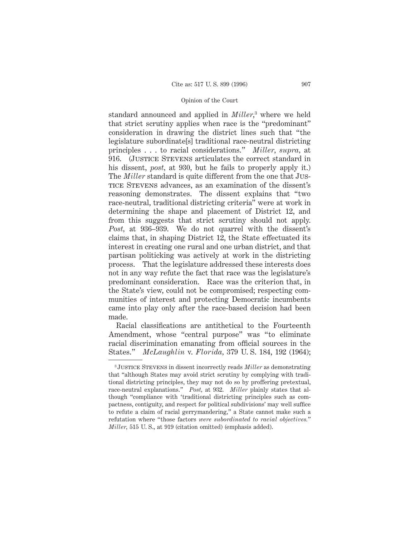standard announced and applied in *Miller*, <sup>3</sup> where we held that strict scrutiny applies when race is the "predominant" consideration in drawing the district lines such that "the legislature subordinate[s] traditional race-neutral districting principles . . . to racial considerations." *Miller*, *supra,* at 916. (JUSTICE STEVENS articulates the correct standard in his dissent, *post,* at 930, but he fails to properly apply it.) The *Miller* standard is quite different from the one that Justice Stevens advances, as an examination of the dissent's reasoning demonstrates. The dissent explains that "two race-neutral, traditional districting criteria" were at work in determining the shape and placement of District 12, and from this suggests that strict scrutiny should not apply. *Post,* at 936–939. We do not quarrel with the dissent's claims that, in shaping District 12, the State effectuated its interest in creating one rural and one urban district, and that partisan politicking was actively at work in the districting process. That the legislature addressed these interests does not in any way refute the fact that race was the legislature's predominant consideration. Race was the criterion that, in the State's view, could not be compromised; respecting communities of interest and protecting Democratic incumbents came into play only after the race-based decision had been made.

Racial classifications are antithetical to the Fourteenth Amendment, whose "central purpose" was "to eliminate racial discrimination emanating from official sources in the States." *McLaughlin* v. *Florida,* 379 U. S. 184, 192 (1964);

<sup>&</sup>lt;sup>3</sup> JUSTICE STEVENS in dissent incorrectly reads *Miller* as demonstrating that "although States may avoid strict scrutiny by complying with traditional districting principles, they may not do so by proffering pretextual, race-neutral explanations." *Post,* at 932. *Miller* plainly states that although "compliance with 'traditional districting principles such as compactness, contiguity, and respect for political subdivisions' may well suffice to refute a claim of racial gerrymandering," a State cannot make such a refutation where "those factors *were subordinated to racial objectives.*" *Miller,* 515 U. S., at 919 (citation omitted) (emphasis added).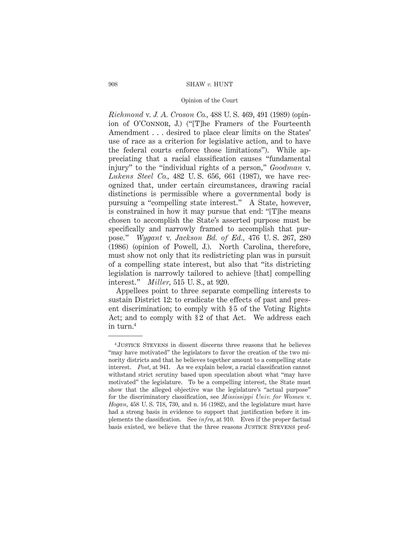### 908 SHAW *v.* HUNT

### Opinion of the Court

*Richmond* v. *J. A. Croson Co.,* 488 U. S. 469, 491 (1989) (opinion of O'Connor, J.) ("[T]he Framers of the Fourteenth Amendment... desired to place clear limits on the States' use of race as a criterion for legislative action, and to have the federal courts enforce those limitations"). While appreciating that a racial classification causes "fundamental injury" to the "individual rights of a person," *Goodman* v. *Lukens Steel Co.,* 482 U. S. 656, 661 (1987), we have recognized that, under certain circumstances, drawing racial distinctions is permissible where a governmental body is pursuing a "compelling state interest." A State, however, is constrained in how it may pursue that end: "[T]he means chosen to accomplish the State's asserted purpose must be specifically and narrowly framed to accomplish that purpose." *Wygant* v. *Jackson Bd. of Ed.,* 476 U. S. 267, 280 (1986) (opinion of Powell, J.). North Carolina, therefore, must show not only that its redistricting plan was in pursuit of a compelling state interest, but also that "its districting legislation is narrowly tailored to achieve [that] compelling interest." *Miller,* 515 U. S., at 920.

Appellees point to three separate compelling interests to sustain District 12: to eradicate the effects of past and present discrimination; to comply with §5 of the Voting Rights Act; and to comply with §2 of that Act. We address each in turn.4

<sup>4</sup> Justice Stevens in dissent discerns three reasons that he believes "may have motivated" the legislators to favor the creation of the two minority districts and that he believes together amount to a compelling state interest. *Post,* at 941. As we explain below, a racial classification cannot withstand strict scrutiny based upon speculation about what "may have motivated" the legislature. To be a compelling interest, the State must show that the alleged objective was the legislature's "actual purpose" for the discriminatory classification, see *Mississippi Univ. for Women* v. *Hogan,* 458 U. S. 718, 730, and n. 16 (1982), and the legislature must have had a strong basis in evidence to support that justification before it implements the classification. See *infra,* at 910. Even if the proper factual basis existed, we believe that the three reasons JUSTICE STEVENS prof-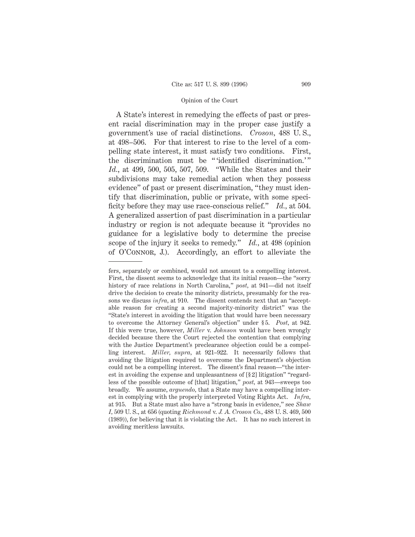A State's interest in remedying the effects of past or present racial discrimination may in the proper case justify a government's use of racial distinctions. *Croson,* 488 U. S., at 498–506. For that interest to rise to the level of a compelling state interest, it must satisfy two conditions. First, the discrimination must be " 'identified discrimination.' " *Id.*, at 499, 500, 505, 507, 509. "While the States and their subdivisions may take remedial action when they possess evidence" of past or present discrimination, "they must identify that discrimination, public or private, with some specificity before they may use race-conscious relief." *Id.,* at 504. A generalized assertion of past discrimination in a particular industry or region is not adequate because it "provides no guidance for a legislative body to determine the precise scope of the injury it seeks to remedy." *Id.,* at 498 (opinion of O'Connor, J.). Accordingly, an effort to alleviate the

fers, separately or combined, would not amount to a compelling interest. First, the dissent seems to acknowledge that its initial reason—the "sorry history of race relations in North Carolina," *post,* at 941—did not itself drive the decision to create the minority districts, presumably for the reasons we discuss *infra,* at 910. The dissent contends next that an "acceptable reason for creating a second majority-minority district" was the "State's interest in avoiding the litigation that would have been necessary to overcome the Attorney General's objection" under § 5. *Post,* at 942. If this were true, however, *Miller* v. *Johnson* would have been wrongly decided because there the Court rejected the contention that complying with the Justice Department's preclearance objection could be a compelling interest. *Miller, supra,* at 921–922. It necessarily follows that avoiding the litigation required to overcome the Department's objection could not be a compelling interest. The dissent's final reason—"the interest in avoiding the expense and unpleasantness of [§ 2] litigation" "regardless of the possible outcome of [that] litigation," *post,* at 943—sweeps too broadly. We assume, *arguendo,* that a State may have a compelling interest in complying with the properly interpreted Voting Rights Act. *Infra,* at 915. But a State must also have a "strong basis in evidence," see *Shaw I,* 509 U. S., at 656 (quoting *Richmond* v. *J. A. Croson Co.,* 488 U. S. 469, 500 (1989)), for believing that it is violating the Act. It has no such interest in avoiding meritless lawsuits.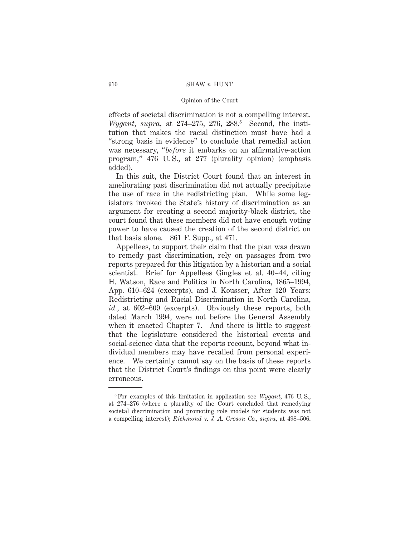effects of societal discrimination is not a compelling interest. *Wygant, supra,* at 274–275, 276, 288.<sup>5</sup> Second, the institution that makes the racial distinction must have had a "strong basis in evidence" to conclude that remedial action was necessary, "*before* it embarks on an affirmative-action program," 476 U. S., at 277 (plurality opinion) (emphasis added).

In this suit, the District Court found that an interest in ameliorating past discrimination did not actually precipitate the use of race in the redistricting plan. While some legislators invoked the State's history of discrimination as an argument for creating a second majority-black district, the court found that these members did not have enough voting power to have caused the creation of the second district on that basis alone. 861 F. Supp., at 471.

Appellees, to support their claim that the plan was drawn to remedy past discrimination, rely on passages from two reports prepared for this litigation by a historian and a social scientist. Brief for Appellees Gingles et al. 40–44, citing H. Watson, Race and Politics in North Carolina, 1865–1994, App. 610–624 (excerpts), and J. Kousser, After 120 Years: Redistricting and Racial Discrimination in North Carolina, *id.*, at 602–609 (excerpts). Obviously these reports, both dated March 1994, were not before the General Assembly when it enacted Chapter 7. And there is little to suggest that the legislature considered the historical events and social-science data that the reports recount, beyond what individual members may have recalled from personal experience. We certainly cannot say on the basis of these reports that the District Court's findings on this point were clearly erroneous.

<sup>5</sup> For examples of this limitation in application see *Wygant,* 476 U. S., at 274–276 (where a plurality of the Court concluded that remedying societal discrimination and promoting role models for students was not a compelling interest); *Richmond* v. *J. A. Croson Co., supra,* at 498–506.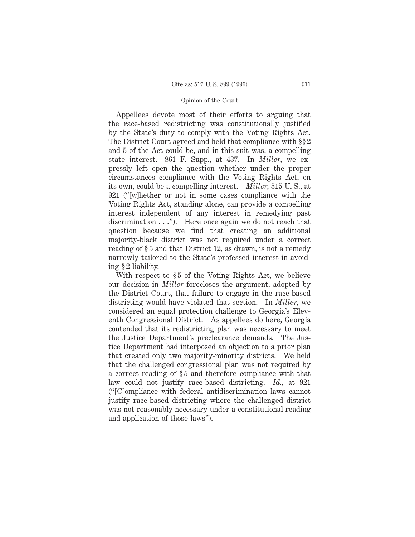Appellees devote most of their efforts to arguing that the race-based redistricting was constitutionally justified by the State's duty to comply with the Voting Rights Act. The District Court agreed and held that compliance with §§ 2 and 5 of the Act could be, and in this suit was, a compelling state interest. 861 F. Supp., at 437. In *Miller,* we expressly left open the question whether under the proper circumstances compliance with the Voting Rights Act, on its own, could be a compelling interest. *Miller,* 515 U. S., at 921 ("[w]hether or not in some cases compliance with the Voting Rights Act, standing alone, can provide a compelling interest independent of any interest in remedying past discrimination  $\dots$ "). Here once again we do not reach that question because we find that creating an additional majority-black district was not required under a correct reading of §5 and that District 12, as drawn, is not a remedy narrowly tailored to the State's professed interest in avoiding § 2 liability.

With respect to  $\S 5$  of the Voting Rights Act, we believe our decision in *Miller* forecloses the argument, adopted by the District Court, that failure to engage in the race-based districting would have violated that section. In *Miller,* we considered an equal protection challenge to Georgia's Eleventh Congressional District. As appellees do here, Georgia contended that its redistricting plan was necessary to meet the Justice Department's preclearance demands. The Justice Department had interposed an objection to a prior plan that created only two majority-minority districts. We held that the challenged congressional plan was not required by a correct reading of § 5 and therefore compliance with that law could not justify race-based districting. *Id.,* at 921 ("[C]ompliance with federal antidiscrimination laws cannot justify race-based districting where the challenged district was not reasonably necessary under a constitutional reading and application of those laws").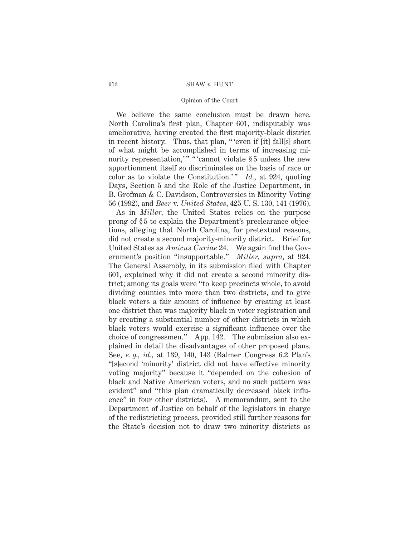### 912 SHAW *v.* HUNT

### Opinion of the Court

We believe the same conclusion must be drawn here. North Carolina's first plan, Chapter 601, indisputably was ameliorative, having created the first majority-black district in recent history. Thus, that plan, " 'even if [it] fall[s] short of what might be accomplished in terms of increasing minority representation,'" "'cannot violate § 5 unless the new apportionment itself so discriminates on the basis of race or color as to violate the Constitution.'" *Id.*, at 924, quoting Days, Section 5 and the Role of the Justice Department, in B. Grofman & C. Davidson, Controversies in Minority Voting 56 (1992), and *Beer* v. *United States*, 425 U. S. 130, 141 (1976).

As in *Miller,* the United States relies on the purpose prong of § 5 to explain the Department's preclearance objections, alleging that North Carolina, for pretextual reasons, did not create a second majority-minority district. Brief for United States as *Amicus Curiae* 24. We again find the Government's position "insupportable." *Miller, supra,* at 924. The General Assembly, in its submission filed with Chapter 601, explained why it did not create a second minority district; among its goals were "to keep precincts whole, to avoid dividing counties into more than two districts, and to give black voters a fair amount of influence by creating at least one district that was majority black in voter registration and by creating a substantial number of other districts in which black voters would exercise a significant influence over the choice of congressmen." App. 142. The submission also explained in detail the disadvantages of other proposed plans. See, *e. g., id.,* at 139, 140, 143 (Balmer Congress 6.2 Plan's "[s]econd 'minority' district did not have effective minority voting majority" because it "depended on the cohesion of black and Native American voters, and no such pattern was evident" and "this plan dramatically decreased black influence" in four other districts). A memorandum, sent to the Department of Justice on behalf of the legislators in charge of the redistricting process, provided still further reasons for the State's decision not to draw two minority districts as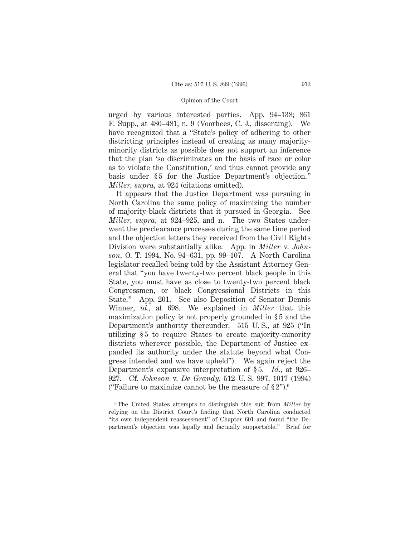urged by various interested parties. App. 94–138; 861 F. Supp., at 480–481, n. 9 (Voorhees, C. J., dissenting). We have recognized that a "State's policy of adhering to other districting principles instead of creating as many majorityminority districts as possible does not support an inference that the plan 'so discriminates on the basis of race or color as to violate the Constitution,' and thus cannot provide any basis under §5 for the Justice Department's objection." *Miller, supra,* at 924 (citations omitted).

It appears that the Justice Department was pursuing in North Carolina the same policy of maximizing the number of majority-black districts that it pursued in Georgia. See *Miller, supra,* at 924–925, and n. The two States underwent the preclearance processes during the same time period and the objection letters they received from the Civil Rights Division were substantially alike. App. in *Miller* v. *Johnson,* O. T. 1994, No. 94–631, pp. 99–107. A North Carolina legislator recalled being told by the Assistant Attorney General that "you have twenty-two percent black people in this State, you must have as close to twenty-two percent black Congressmen, or black Congressional Districts in this State." App. 201. See also Deposition of Senator Dennis Winner, *id.,* at 698. We explained in *Miller* that this maximization policy is not properly grounded in § 5 and the Department's authority thereunder. 515 U. S., at 925 ("In utilizing § 5 to require States to create majority-minority districts wherever possible, the Department of Justice expanded its authority under the statute beyond what Congress intended and we have upheld"). We again reject the Department's expansive interpretation of § 5. *Id.*, at 926– 927. Cf. *Johnson* v. *De Grandy,* 512 U. S. 997, 1017 (1994) ("Failure to maximize cannot be the measure of  $\S 2"$ ).<sup>6</sup>

<sup>6</sup> The United States attempts to distinguish this suit from *Miller* by relying on the District Court's finding that North Carolina conducted "its own independent reassessment" of Chapter 601 and found "the Department's objection was legally and factually supportable." Brief for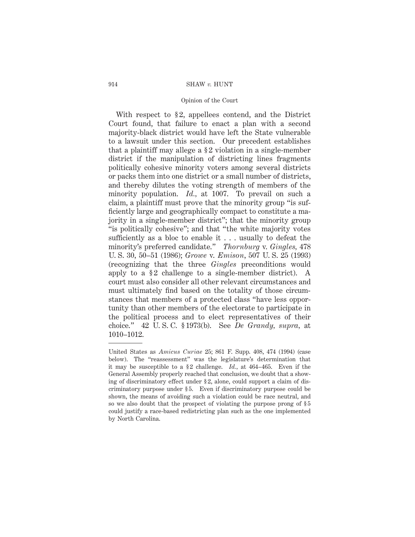### 914 SHAW *v.* HUNT

### Opinion of the Court

With respect to §2, appellees contend, and the District Court found, that failure to enact a plan with a second majority-black district would have left the State vulnerable to a lawsuit under this section. Our precedent establishes that a plaintiff may allege a § 2 violation in a single-member district if the manipulation of districting lines fragments politically cohesive minority voters among several districts or packs them into one district or a small number of districts, and thereby dilutes the voting strength of members of the minority population. *Id.,* at 1007. To prevail on such a claim, a plaintiff must prove that the minority group "is sufficiently large and geographically compact to constitute a majority in a single-member district"; that the minority group "is politically cohesive"; and that "the white majority votes sufficiently as a bloc to enable it . . . usually to defeat the minority's preferred candidate." *Thornburg* v. *Gingles,* 478 U. S. 30, 50–51 (1986); *Growe* v. *Emison*, 507 U. S. 25 (1993) (recognizing that the three *Gingles* preconditions would apply to a  $\S 2$  challenge to a single-member district). A court must also consider all other relevant circumstances and must ultimately find based on the totality of those circumstances that members of a protected class "have less opportunity than other members of the electorate to participate in the political process and to elect representatives of their choice." 42 U. S. C. § 1973(b). See *De Grandy, supra,* at 1010–1012.

United States as *Amicus Curiae* 25; 861 F. Supp. 408, 474 (1994) (case below). The "reassessment" was the legislature's determination that it may be susceptible to a § 2 challenge. *Id.,* at 464–465. Even if the General Assembly properly reached that conclusion, we doubt that a showing of discriminatory effect under § 2, alone, could support a claim of discriminatory purpose under § 5. Even if discriminatory purpose could be shown, the means of avoiding such a violation could be race neutral, and so we also doubt that the prospect of violating the purpose prong of § 5 could justify a race-based redistricting plan such as the one implemented by North Carolina.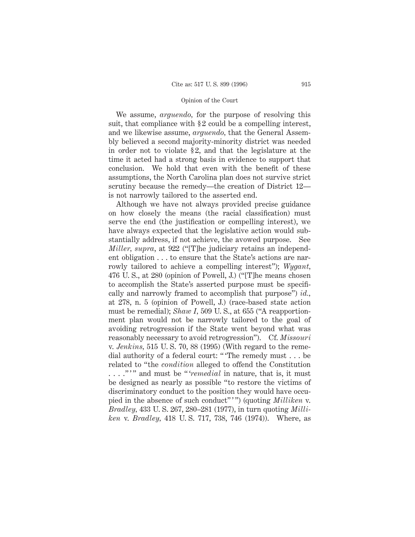We assume, *arguendo,* for the purpose of resolving this suit, that compliance with § 2 could be a compelling interest, and we likewise assume, *arguendo,* that the General Assembly believed a second majority-minority district was needed in order not to violate § 2, and that the legislature at the time it acted had a strong basis in evidence to support that conclusion. We hold that even with the benefit of these assumptions, the North Carolina plan does not survive strict scrutiny because the remedy—the creation of District 12 is not narrowly tailored to the asserted end.

Although we have not always provided precise guidance on how closely the means (the racial classification) must serve the end (the justification or compelling interest), we have always expected that the legislative action would substantially address, if not achieve, the avowed purpose. See *Miller, supra*, at 922 ("[T]he judiciary retains an independent obligation . . . to ensure that the State's actions are narrowly tailored to achieve a compelling interest"); *Wygant,* 476 U. S., at 280 (opinion of Powell, J.) ("[T]he means chosen to accomplish the State's asserted purpose must be specifically and narrowly framed to accomplish that purpose") *id.,* at 278, n. 5 (opinion of Powell, J.) (race-based state action must be remedial); *Shaw I,* 509 U. S., at 655 ("A reapportionment plan would not be narrowly tailored to the goal of avoiding retrogression if the State went beyond what was reasonably necessary to avoid retrogression"). Cf. *Missouri* v. *Jenkins,* 515 U. S. 70, 88 (1995) (With regard to the remedial authority of a federal court: " 'The remedy must . . . be related to "the *condition* alleged to offend the Constitution . . . ." ' " and must be " '*remedial* in nature, that is, it must be designed as nearly as possible "to restore the victims of discriminatory conduct to the position they would have occupied in the absence of such conduct""") (quoting *Milliken* v. *Bradley,* 433 U. S. 267, 280–281 (1977), in turn quoting *Milliken* v. *Bradley,* 418 U. S. 717, 738, 746 (1974)). Where, as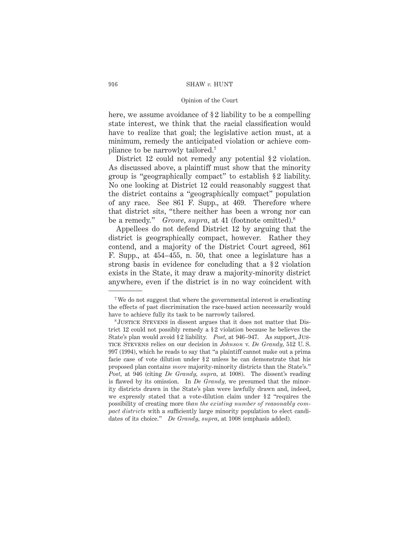### 916 SHAW *v.* HUNT

### Opinion of the Court

here, we assume avoidance of §2 liability to be a compelling state interest, we think that the racial classification would have to realize that goal; the legislative action must, at a minimum, remedy the anticipated violation or achieve compliance to be narrowly tailored.7

District 12 could not remedy any potential § 2 violation. As discussed above, a plaintiff must show that the minority group is "geographically compact" to establish § 2 liability. No one looking at District 12 could reasonably suggest that the district contains a "geographically compact" population of any race. See 861 F. Supp., at 469. Therefore where that district sits, "there neither has been a wrong nor can be a remedy." *Growe, supra,* at 41 (footnote omitted).8

Appellees do not defend District 12 by arguing that the district is geographically compact, however. Rather they contend, and a majority of the District Court agreed, 861 F. Supp., at 454–455, n. 50, that once a legislature has a strong basis in evidence for concluding that a §2 violation exists in the State, it may draw a majority-minority district anywhere, even if the district is in no way coincident with

<sup>7</sup> We do not suggest that where the governmental interest is eradicating the effects of past discrimination the race-based action necessarily would have to achieve fully its task to be narrowly tailored.

<sup>&</sup>lt;sup>8</sup> JUSTICE STEVENS in dissent argues that it does not matter that District 12 could not possibly remedy a § 2 violation because he believes the State's plan would avoid § 2 liability. *Post,* at 946–947. As support, Justice Stevens relies on our decision in *Johnson* v. *De Grandy,* 512 U. S. 997 (1994), which he reads to say that "a plaintiff cannot make out a prima facie case of vote dilution under \$2 unless he can demonstrate that his proposed plan contains *more* majority-minority districts than the State's." *Post,* at 946 (citing *De Grandy, supra,* at 1008). The dissent's reading is flawed by its omission. In *De Grandy,* we presumed that the minority districts drawn in the State's plan were lawfully drawn and, indeed, we expressly stated that a vote-dilution claim under  $\S 2$  "requires the possibility of creating more *than the existing number of reasonably compact districts* with a sufficiently large minority population to elect candidates of its choice." *De Grandy, supra,* at 1008 (emphasis added).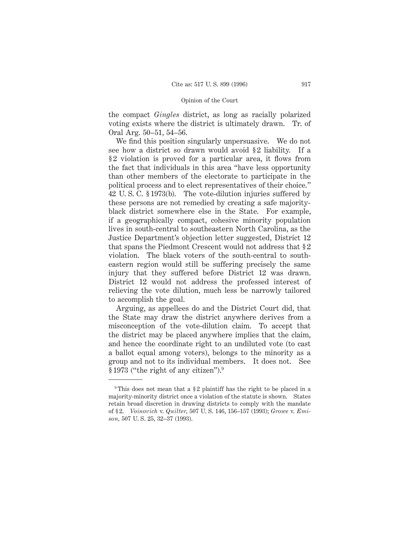the compact *Gingles* district, as long as racially polarized voting exists where the district is ultimately drawn. Tr. of Oral Arg. 50–51, 54–56.

We find this position singularly unpersuasive. We do not see how a district so drawn would avoid §2 liability. If a § 2 violation is proved for a particular area, it flows from the fact that individuals in this area "have less opportunity than other members of the electorate to participate in the political process and to elect representatives of their choice." 42 U. S. C. § 1973(b). The vote-dilution injuries suffered by these persons are not remedied by creating a safe majorityblack district somewhere else in the State. For example, if a geographically compact, cohesive minority population lives in south-central to southeastern North Carolina, as the Justice Department's objection letter suggested, District 12 that spans the Piedmont Crescent would not address that § 2 violation. The black voters of the south-central to southeastern region would still be suffering precisely the same injury that they suffered before District 12 was drawn. District 12 would not address the professed interest of relieving the vote dilution, much less be narrowly tailored to accomplish the goal.

Arguing, as appellees do and the District Court did, that the State may draw the district anywhere derives from a misconception of the vote-dilution claim. To accept that the district may be placed anywhere implies that the claim, and hence the coordinate right to an undiluted vote (to cast a ballot equal among voters), belongs to the minority as a group and not to its individual members. It does not. See § 1973 ("the right of any citizen").9

<sup>&</sup>lt;sup>9</sup> This does not mean that a §2 plaintiff has the right to be placed in a majority-minority district once a violation of the statute is shown. States retain broad discretion in drawing districts to comply with the mandate of § 2. *Voinovich* v. *Quilter,* 507 U. S. 146, 156–157 (1993); *Growe* v. *Emison,* 507 U. S. 25, 32–37 (1993).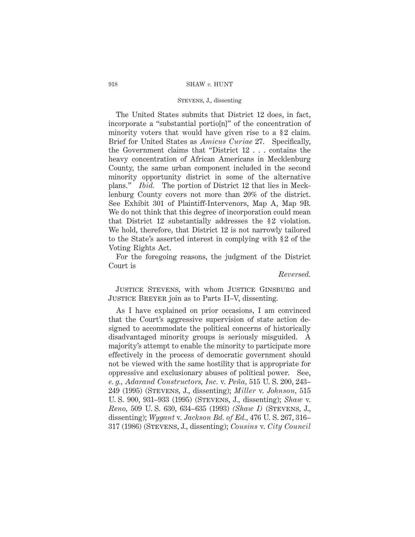The United States submits that District 12 does, in fact, incorporate a "substantial portio[n]" of the concentration of minority voters that would have given rise to a §2 claim. Brief for United States as *Amicus Curiae* 27. Specifically, the Government claims that "District 12 . . . contains the heavy concentration of African Americans in Mecklenburg County, the same urban component included in the second minority opportunity district in some of the alternative plans." *Ibid.* The portion of District 12 that lies in Mecklenburg County covers not more than 20% of the district. See Exhibit 301 of Plaintiff-Intervenors, Map A, Map 9B. We do not think that this degree of incorporation could mean that District 12 substantially addresses the §2 violation. We hold, therefore, that District 12 is not narrowly tailored to the State's asserted interest in complying with § 2 of the Voting Rights Act.

For the foregoing reasons, the judgment of the District Court is

### *Reversed.*

Justice Stevens, with whom Justice Ginsburg and Justice Breyer join as to Parts II–V, dissenting.

As I have explained on prior occasions, I am convinced that the Court's aggressive supervision of state action designed to accommodate the political concerns of historically disadvantaged minority groups is seriously misguided. A majority's attempt to enable the minority to participate more effectively in the process of democratic government should not be viewed with the same hostility that is appropriate for oppressive and exclusionary abuses of political power. See, *e. g., Adarand Constructors, Inc.* v. *Pen˜a,* 515 U. S. 200, 243– 249 (1995) (Stevens, J., dissenting); *Miller* v. *Johnson,* 515 U. S. 900, 931–933 (1995) (Stevens, J., dissenting); *Shaw* v. *Reno,* 509 U. S. 630, 634–635 (1993) *(Shaw I)* (Stevens, J., dissenting); *Wygant* v. *Jackson Bd. of Ed.,* 476 U. S. 267, 316– 317 (1986) (Stevens, J., dissenting); *Cousins* v. *City Council*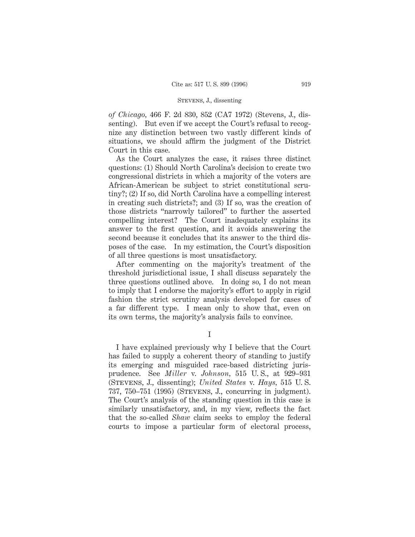*of Chicago,* 466 F. 2d 830, 852 (CA7 1972) (Stevens, J., dissenting). But even if we accept the Court's refusal to recognize any distinction between two vastly different kinds of situations, we should affirm the judgment of the District Court in this case.

As the Court analyzes the case, it raises three distinct questions: (1) Should North Carolina's decision to create two congressional districts in which a majority of the voters are African-American be subject to strict constitutional scrutiny?; (2) If so, did North Carolina have a compelling interest in creating such districts?; and (3) If so, was the creation of those districts "narrowly tailored" to further the asserted compelling interest? The Court inadequately explains its answer to the first question, and it avoids answering the second because it concludes that its answer to the third disposes of the case. In my estimation, the Court's disposition of all three questions is most unsatisfactory.

After commenting on the majority's treatment of the threshold jurisdictional issue, I shall discuss separately the three questions outlined above. In doing so, I do not mean to imply that I endorse the majority's effort to apply in rigid fashion the strict scrutiny analysis developed for cases of a far different type. I mean only to show that, even on its own terms, the majority's analysis fails to convince.

I

I have explained previously why I believe that the Court has failed to supply a coherent theory of standing to justify its emerging and misguided race-based districting jurisprudence. See *Miller* v. *Johnson,* 515 U. S., at 929–931 (Stevens, J., dissenting); *United States* v. *Hays,* 515 U. S. 737, 750–751 (1995) (Stevens, J., concurring in judgment). The Court's analysis of the standing question in this case is similarly unsatisfactory, and, in my view, reflects the fact that the so-called *Shaw* claim seeks to employ the federal courts to impose a particular form of electoral process,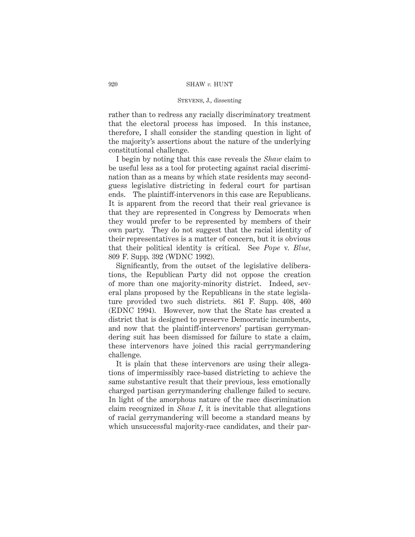rather than to redress any racially discriminatory treatment that the electoral process has imposed. In this instance, therefore, I shall consider the standing question in light of the majority's assertions about the nature of the underlying constitutional challenge.

I begin by noting that this case reveals the *Shaw* claim to be useful less as a tool for protecting against racial discrimination than as a means by which state residents may secondguess legislative districting in federal court for partisan ends. The plaintiff-intervenors in this case are Republicans. It is apparent from the record that their real grievance is that they are represented in Congress by Democrats when they would prefer to be represented by members of their own party. They do not suggest that the racial identity of their representatives is a matter of concern, but it is obvious that their political identity is critical. See *Pope* v. *Blue,* 809 F. Supp. 392 (WDNC 1992).

Significantly, from the outset of the legislative deliberations, the Republican Party did not oppose the creation of more than one majority-minority district. Indeed, several plans proposed by the Republicans in the state legislature provided two such districts. 861 F. Supp. 408, 460 (EDNC 1994). However, now that the State has created a district that is designed to preserve Democratic incumbents, and now that the plaintiff-intervenors' partisan gerrymandering suit has been dismissed for failure to state a claim, these intervenors have joined this racial gerrymandering challenge.

It is plain that these intervenors are using their allegations of impermissibly race-based districting to achieve the same substantive result that their previous, less emotionally charged partisan gerrymandering challenge failed to secure. In light of the amorphous nature of the race discrimination claim recognized in *Shaw I,* it is inevitable that allegations of racial gerrymandering will become a standard means by which unsuccessful majority-race candidates, and their par-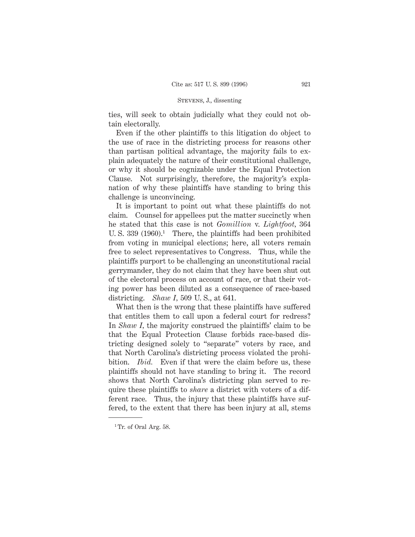ties, will seek to obtain judicially what they could not obtain electorally.

Even if the other plaintiffs to this litigation do object to the use of race in the districting process for reasons other than partisan political advantage, the majority fails to explain adequately the nature of their constitutional challenge, or why it should be cognizable under the Equal Protection Clause. Not surprisingly, therefore, the majority's explanation of why these plaintiffs have standing to bring this challenge is unconvincing.

It is important to point out what these plaintiffs do not claim. Counsel for appellees put the matter succinctly when he stated that this case is not *Gomillion* v. *Lightfoot,* 364 U. S.  $339(1960).$ <sup>1</sup> There, the plaintiffs had been prohibited from voting in municipal elections; here, all voters remain free to select representatives to Congress. Thus, while the plaintiffs purport to be challenging an unconstitutional racial gerrymander, they do not claim that they have been shut out of the electoral process on account of race, or that their voting power has been diluted as a consequence of race-based districting. *Shaw I,* 509 U. S., at 641.

What then is the wrong that these plaintiffs have suffered that entitles them to call upon a federal court for redress? In *Shaw I,* the majority construed the plaintiffs' claim to be that the Equal Protection Clause forbids race-based districting designed solely to "separate" voters by race, and that North Carolina's districting process violated the prohibition. *Ibid.* Even if that were the claim before us, these plaintiffs should not have standing to bring it. The record shows that North Carolina's districting plan served to require these plaintiffs to *share* a district with voters of a different race. Thus, the injury that these plaintiffs have suffered, to the extent that there has been injury at all, stems

<sup>&</sup>lt;sup>1</sup>Tr. of Oral Arg. 58.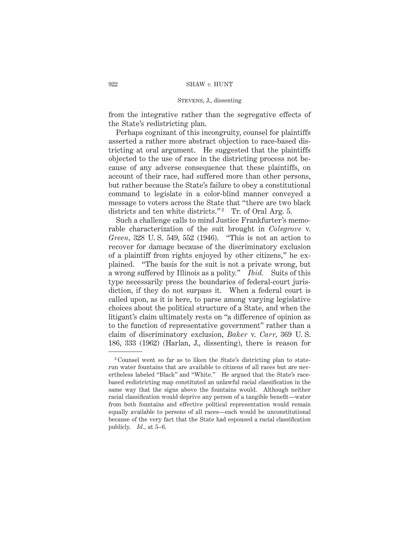from the integrative rather than the segregative effects of the State's redistricting plan.

Perhaps cognizant of this incongruity, counsel for plaintiffs asserted a rather more abstract objection to race-based districting at oral argument. He suggested that the plaintiffs objected to the use of race in the districting process not because of any adverse consequence that these plaintiffs, on account of their race, had suffered more than other persons, but rather because the State's failure to obey a constitutional command to legislate in a color-blind manner conveyed a message to voters across the State that "there are two black districts and ten white districts."<sup>2</sup> Tr. of Oral Arg. 5.

Such a challenge calls to mind Justice Frankfurter's memorable characterization of the suit brought in *Colegrove* v. *Green,* 328 U. S. 549, 552 (1946). "This is not an action to recover for damage because of the discriminatory exclusion of a plaintiff from rights enjoyed by other citizens," he explained. "The basis for the suit is not a private wrong, but a wrong suffered by Illinois as a polity." *Ibid.* Suits of this type necessarily press the boundaries of federal-court jurisdiction, if they do not surpass it. When a federal court is called upon, as it is here, to parse among varying legislative choices about the political structure of a State, and when the litigant's claim ultimately rests on "a difference of opinion as to the function of representative government" rather than a claim of discriminatory exclusion, *Baker* v. *Carr,* 369 U. S. 186, 333 (1962) (Harlan, J., dissenting), there is reason for

<sup>2</sup> Counsel went so far as to liken the State's districting plan to staterun water fountains that are available to citizens of all races but are nevertheless labeled "Black" and "White." He argued that the State's racebased redistricting map constituted an unlawful racial classification in the same way that the signs above the fountains would. Although neither racial classification would deprive any person of a tangible benefit—water from both fountains and effective political representation would remain equally available to persons of all races—each would be unconstitutional because of the very fact that the State had espoused a racial classification publicly. *Id.,* at 5–6.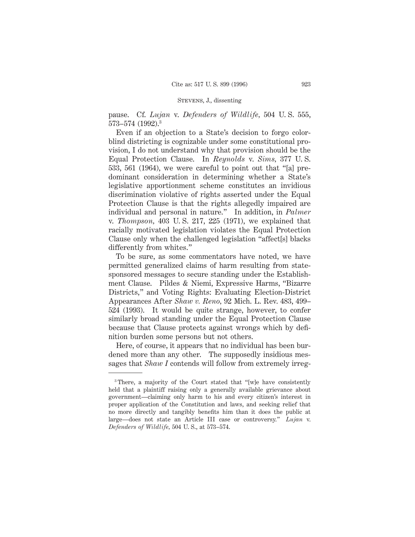pause. Cf. *Lujan* v. *Defenders of Wildlife,* 504 U. S. 555, 573–574 (1992).3

Even if an objection to a State's decision to forgo colorblind districting is cognizable under some constitutional provision, I do not understand why that provision should be the Equal Protection Clause. In *Reynolds* v. *Sims,* 377 U. S. 533, 561 (1964), we were careful to point out that "[a] predominant consideration in determining whether a State's legislative apportionment scheme constitutes an invidious discrimination violative of rights asserted under the Equal Protection Clause is that the rights allegedly impaired are individual and personal in nature." In addition, in *Palmer* v. *Thompson,* 403 U. S. 217, 225 (1971), we explained that racially motivated legislation violates the Equal Protection Clause only when the challenged legislation "affect[s] blacks differently from whites."

To be sure, as some commentators have noted, we have permitted generalized claims of harm resulting from statesponsored messages to secure standing under the Establishment Clause. Pildes & Niemi, Expressive Harms, "Bizarre Districts," and Voting Rights: Evaluating Election-District Appearances After *Shaw v. Reno,* 92 Mich. L. Rev. 483, 499– 524 (1993). It would be quite strange, however, to confer similarly broad standing under the Equal Protection Clause because that Clause protects against wrongs which by definition burden some persons but not others.

Here, of course, it appears that no individual has been burdened more than any other. The supposedly insidious messages that *Shaw I* contends will follow from extremely irreg-

<sup>3</sup> There, a majority of the Court stated that "[w]e have consistently held that a plaintiff raising only a generally available grievance about government—claiming only harm to his and every citizen's interest in proper application of the Constitution and laws, and seeking relief that no more directly and tangibly benefits him than it does the public at large—does not state an Article III case or controversy." *Lujan* v. *Defenders of Wildlife,* 504 U. S., at 573–574.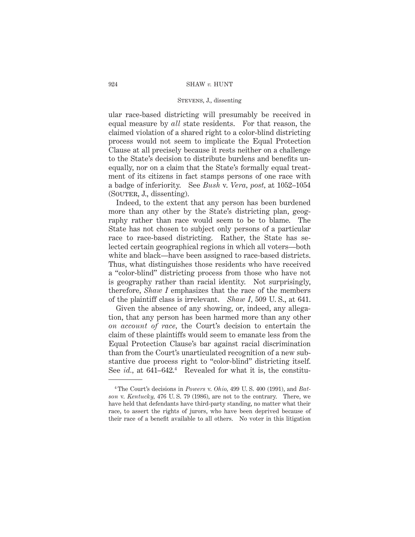ular race-based districting will presumably be received in equal measure by *all* state residents. For that reason, the claimed violation of a shared right to a color-blind districting process would not seem to implicate the Equal Protection Clause at all precisely because it rests neither on a challenge to the State's decision to distribute burdens and benefits unequally, nor on a claim that the State's formally equal treatment of its citizens in fact stamps persons of one race with a badge of inferiority. See *Bush* v. *Vera, post,* at 1052–1054 (SOUTER, J., dissenting).

Indeed, to the extent that any person has been burdened more than any other by the State's districting plan, geography rather than race would seem to be to blame. The State has not chosen to subject only persons of a particular race to race-based districting. Rather, the State has selected certain geographical regions in which all voters—both white and black—have been assigned to race-based districts. Thus, what distinguishes those residents who have received a "color-blind" districting process from those who have not is geography rather than racial identity. Not surprisingly, therefore, *Shaw I* emphasizes that the race of the members of the plaintiff class is irrelevant. *Shaw I,* 509 U. S., at 641.

Given the absence of any showing, or, indeed, any allegation, that any person has been harmed more than any other *on account of race,* the Court's decision to entertain the claim of these plaintiffs would seem to emanate less from the Equal Protection Clause's bar against racial discrimination than from the Court's unarticulated recognition of a new substantive due process right to "color-blind" districting itself. See *id.*, at 641–642.<sup>4</sup> Revealed for what it is, the constitu-

<sup>4</sup> The Court's decisions in *Powers* v. *Ohio,* 499 U. S. 400 (1991), and *Batson* v. *Kentucky,* 476 U. S. 79 (1986), are not to the contrary. There, we have held that defendants have third-party standing, no matter what their race, to assert the rights of jurors, who have been deprived because of their race of a benefit available to all others. No voter in this litigation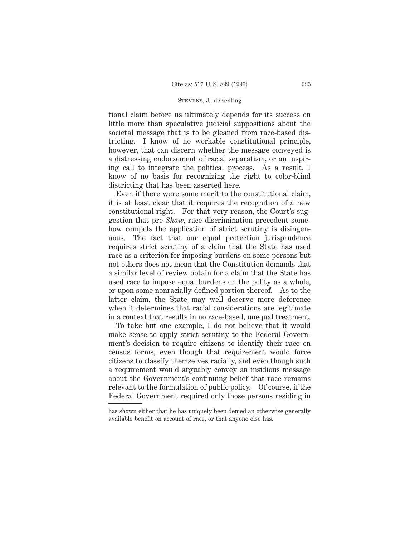tional claim before us ultimately depends for its success on little more than speculative judicial suppositions about the societal message that is to be gleaned from race-based districting. I know of no workable constitutional principle, however, that can discern whether the message conveyed is a distressing endorsement of racial separatism, or an inspiring call to integrate the political process. As a result, I know of no basis for recognizing the right to color-blind districting that has been asserted here.

Even if there were some merit to the constitutional claim, it is at least clear that it requires the recognition of a new constitutional right. For that very reason, the Court's suggestion that pre-*Shaw,* race discrimination precedent somehow compels the application of strict scrutiny is disingenuous. The fact that our equal protection jurisprudence requires strict scrutiny of a claim that the State has used race as a criterion for imposing burdens on some persons but not others does not mean that the Constitution demands that a similar level of review obtain for a claim that the State has used race to impose equal burdens on the polity as a whole, or upon some nonracially defined portion thereof. As to the latter claim, the State may well deserve more deference when it determines that racial considerations are legitimate in a context that results in no race-based, unequal treatment.

To take but one example, I do not believe that it would make sense to apply strict scrutiny to the Federal Government's decision to require citizens to identify their race on census forms, even though that requirement would force citizens to classify themselves racially, and even though such a requirement would arguably convey an insidious message about the Government's continuing belief that race remains relevant to the formulation of public policy. Of course, if the Federal Government required only those persons residing in

has shown either that he has uniquely been denied an otherwise generally available benefit on account of race, or that anyone else has.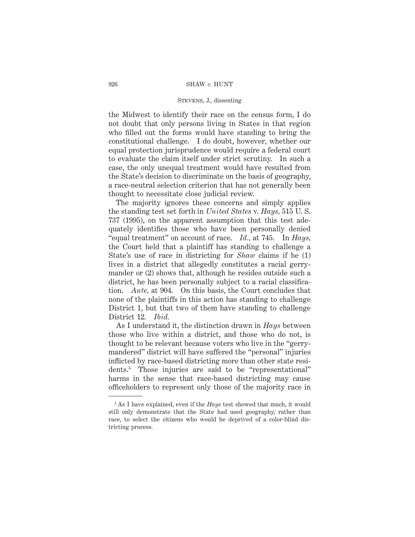the Midwest to identify their race on the census form, I do not doubt that only persons living in States in that region who filled out the forms would have standing to bring the constitutional challenge. I do doubt, however, whether our equal protection jurisprudence would require a federal court to evaluate the claim itself under strict scrutiny. In such a case, the only unequal treatment would have resulted from the State's decision to discriminate on the basis of geography, a race-neutral selection criterion that has not generally been thought to necessitate close judicial review.

The majority ignores these concerns and simply applies the standing test set forth in *United States* v. *Hays,* 515 U. S. 737 (1995), on the apparent assumption that this test adequately identifies those who have been personally denied "equal treatment" on account of race. *Id.,* at 745. In *Hays,* the Court held that a plaintiff has standing to challenge a State's use of race in districting for *Shaw* claims if he (1) lives in a district that allegedly constitutes a racial gerrymander or (2) shows that, although he resides outside such a district, he has been personally subject to a racial classification. *Ante,* at 904. On this basis, the Court concludes that none of the plaintiffs in this action has standing to challenge District 1, but that two of them have standing to challenge District 12. *Ibid.*

As I understand it, the distinction drawn in *Hays* between those who live within a district, and those who do not, is thought to be relevant because voters who live in the "gerrymandered" district will have suffered the "personal" injuries inflicted by race-based districting more than other state residents.5 Those injuries are said to be "representational" harms in the sense that race-based districting may cause officeholders to represent only those of the majority race in

<sup>&</sup>lt;sup>5</sup> As I have explained, even if the *Hays* test showed that much, it would still only demonstrate that the State had used geography, rather than race, to select the citizens who would be deprived of a color-blind districting process.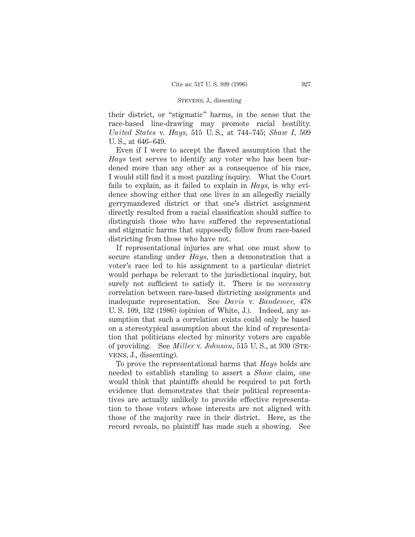their district, or "stigmatic" harms, in the sense that the race-based line-drawing may promote racial hostility. *United States* v. *Hays,* 515 U. S., at 744–745; *Shaw I,* 509 U. S., at 646–649.

Even if I were to accept the flawed assumption that the *Hays* test serves to identify any voter who has been burdened more than any other as a consequence of his race, I would still find it a most puzzling inquiry. What the Court fails to explain, as it failed to explain in *Hays,* is why evidence showing either that one lives in an allegedly racially gerrymandered district or that one's district assignment directly resulted from a racial classification should suffice to distinguish those who have suffered the representational and stigmatic harms that supposedly follow from race-based districting from those who have not.

If representational injuries are what one must show to secure standing under *Hays,* then a demonstration that a voter's race led to his assignment to a particular district would perhaps be relevant to the jurisdictional inquiry, but surely not sufficient to satisfy it. There is no *necessary* correlation between race-based districting assignments and inadequate representation. See *Davis* v. *Bandemer,* 478 U. S. 109, 132 (1986) (opinion of White, J.). Indeed, any assumption that such a correlation exists could only be based on a stereotypical assumption about the kind of representation that politicians elected by minority voters are capable of providing. See *Miller* v. *Johnson,* 515 U. S., at 930 (Stevens, J., dissenting).

To prove the representational harms that *Hays* holds are needed to establish standing to assert a *Shaw* claim, one would think that plaintiffs should be required to put forth evidence that demonstrates that their political representatives are actually unlikely to provide effective representation to those voters whose interests are not aligned with those of the majority race in their district. Here, as the record reveals, no plaintiff has made such a showing. See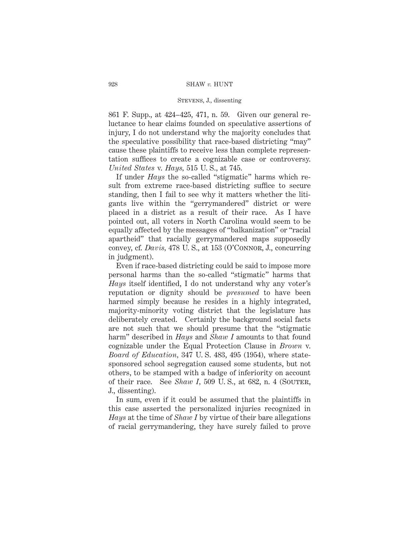861 F. Supp., at 424–425, 471, n. 59. Given our general reluctance to hear claims founded on speculative assertions of injury, I do not understand why the majority concludes that the speculative possibility that race-based districting "may" cause these plaintiffs to receive less than complete representation suffices to create a cognizable case or controversy. *United States* v. *Hays,* 515 U. S., at 745.

If under *Hays* the so-called "stigmatic" harms which result from extreme race-based districting suffice to secure standing, then I fail to see why it matters whether the litigants live within the "gerrymandered" district or were placed in a district as a result of their race. As I have pointed out, all voters in North Carolina would seem to be equally affected by the messages of "balkanization" or "racial apartheid" that racially gerrymandered maps supposedly convey, cf. *Davis,* 478 U. S., at 153 (O'Connor, J., concurring in judgment).

Even if race-based districting could be said to impose more personal harms than the so-called "stigmatic" harms that *Hays* itself identified, I do not understand why any voter's reputation or dignity should be *presumed* to have been harmed simply because he resides in a highly integrated, majority-minority voting district that the legislature has deliberately created. Certainly the background social facts are not such that we should presume that the "stigmatic harm" described in *Hays* and *Shaw I* amounts to that found cognizable under the Equal Protection Clause in *Brown* v. *Board of Education,* 347 U. S. 483, 495 (1954), where statesponsored school segregation caused some students, but not others, to be stamped with a badge of inferiority on account of their race. See *Shaw I,* 509 U. S., at 682, n. 4 (Souter, J., dissenting).

In sum, even if it could be assumed that the plaintiffs in this case asserted the personalized injuries recognized in *Hays* at the time of *Shaw I* by virtue of their bare allegations of racial gerrymandering, they have surely failed to prove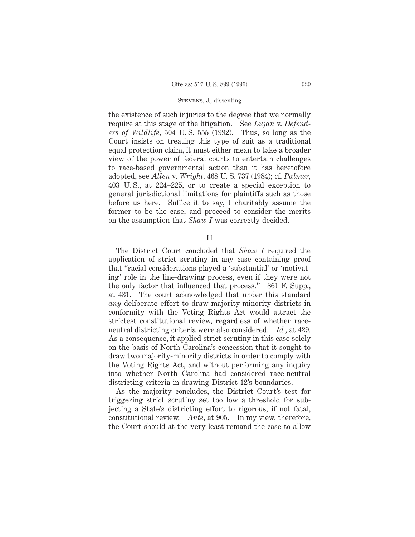the existence of such injuries to the degree that we normally require at this stage of the litigation. See *Lujan* v. *Defenders of Wildlife,* 504 U. S. 555 (1992). Thus, so long as the Court insists on treating this type of suit as a traditional equal protection claim, it must either mean to take a broader view of the power of federal courts to entertain challenges to race-based governmental action than it has heretofore adopted, see *Allen* v. *Wright,* 468 U. S. 737 (1984); cf. *Palmer,* 403 U. S., at 224–225, or to create a special exception to general jurisdictional limitations for plaintiffs such as those before us here. Suffice it to say, I charitably assume the former to be the case, and proceed to consider the merits on the assumption that *Shaw I* was correctly decided.

### II

The District Court concluded that *Shaw I* required the application of strict scrutiny in any case containing proof that "racial considerations played a 'substantial' or 'motivating' role in the line-drawing process, even if they were not the only factor that influenced that process." 861 F. Supp., at 431. The court acknowledged that under this standard *any* deliberate effort to draw majority-minority districts in conformity with the Voting Rights Act would attract the strictest constitutional review, regardless of whether raceneutral districting criteria were also considered. *Id.,* at 429. As a consequence, it applied strict scrutiny in this case solely on the basis of North Carolina's concession that it sought to draw two majority-minority districts in order to comply with the Voting Rights Act, and without performing any inquiry into whether North Carolina had considered race-neutral districting criteria in drawing District 12's boundaries.

As the majority concludes, the District Court's test for triggering strict scrutiny set too low a threshold for subjecting a State's districting effort to rigorous, if not fatal, constitutional review. *Ante,* at 905. In my view, therefore, the Court should at the very least remand the case to allow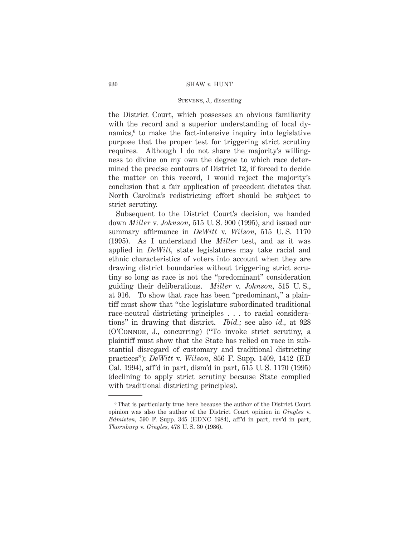the District Court, which possesses an obvious familiarity with the record and a superior understanding of local dynamics, $6$  to make the fact-intensive inquiry into legislative purpose that the proper test for triggering strict scrutiny requires. Although I do not share the majority's willingness to divine on my own the degree to which race determined the precise contours of District 12, if forced to decide the matter on this record, I would reject the majority's conclusion that a fair application of precedent dictates that North Carolina's redistricting effort should be subject to strict scrutiny.

Subsequent to the District Court's decision, we handed down *Miller* v. *Johnson,* 515 U. S. 900 (1995), and issued our summary affirmance in *DeWitt* v. *Wilson,* 515 U. S. 1170 (1995). As I understand the *Miller* test, and as it was applied in *DeWitt,* state legislatures may take racial and ethnic characteristics of voters into account when they are drawing district boundaries without triggering strict scrutiny so long as race is not the "predominant" consideration guiding their deliberations. *Miller* v. *Johnson,* 515 U. S., at 916. To show that race has been "predominant," a plaintiff must show that "the legislature subordinated traditional race-neutral districting principles . . . to racial considerations" in drawing that district. *Ibid.;* see also *id.,* at 928 (O'Connor, J., concurring) ("To invoke strict scrutiny, a plaintiff must show that the State has relied on race in substantial disregard of customary and traditional districting practices"); *DeWitt* v. *Wilson,* 856 F. Supp. 1409, 1412 (ED Cal. 1994), aff'd in part, dism'd in part, 515 U. S. 1170 (1995) (declining to apply strict scrutiny because State complied with traditional districting principles).

<sup>6</sup> That is particularly true here because the author of the District Court opinion was also the author of the District Court opinion in *Gingles* v. *Edmisten,* 590 F. Supp. 345 (EDNC 1984), aff'd in part, rev'd in part, *Thornburg* v. *Gingles,* 478 U. S. 30 (1986).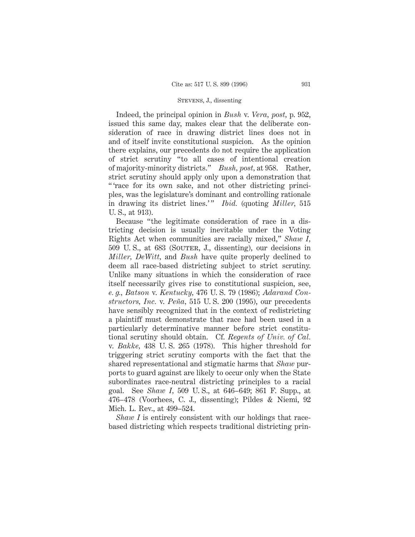Indeed, the principal opinion in *Bush* v. *Vera, post,* p. 952, issued this same day, makes clear that the deliberate consideration of race in drawing district lines does not in and of itself invite constitutional suspicion. As the opinion there explains, our precedents do not require the application of strict scrutiny "to all cases of intentional creation of majority-minority districts." *Bush, post,* at 958. Rather, strict scrutiny should apply only upon a demonstration that " 'race for its own sake, and not other districting principles, was the legislature's dominant and controlling rationale in drawing its district lines.'" *Ibid.* (quoting *Miller*, 515 U. S., at 913).

Because "the legitimate consideration of race in a districting decision is usually inevitable under the Voting Rights Act when communities are racially mixed," *Shaw I,* 509 U. S., at 683 (Souter, J., dissenting), our decisions in *Miller, DeWitt,* and *Bush* have quite properly declined to deem all race-based districting subject to strict scrutiny. Unlike many situations in which the consideration of race itself necessarily gives rise to constitutional suspicion, see, *e. g., Batson* v. *Kentucky,* 476 U. S. 79 (1986); *Adarand Constructors, Inc.* v. *Pen˜a,* 515 U. S. 200 (1995), our precedents have sensibly recognized that in the context of redistricting a plaintiff must demonstrate that race had been used in a particularly determinative manner before strict constitutional scrutiny should obtain. Cf. *Regents of Univ. of Cal.* v. *Bakke,* 438 U. S. 265 (1978). This higher threshold for triggering strict scrutiny comports with the fact that the shared representational and stigmatic harms that *Shaw* purports to guard against are likely to occur only when the State subordinates race-neutral districting principles to a racial goal. See *Shaw I,* 509 U. S., at 646–649; 861 F. Supp., at 476–478 (Voorhees, C. J., dissenting); Pildes & Niemi, 92 Mich. L. Rev., at 499–524.

*Shaw I* is entirely consistent with our holdings that racebased districting which respects traditional districting prin-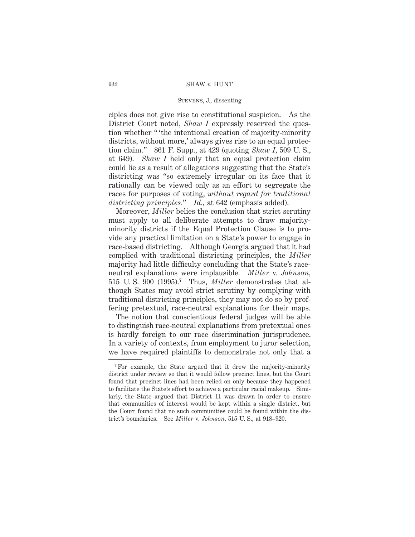ciples does not give rise to constitutional suspicion. As the District Court noted, *Shaw I* expressly reserved the question whether " 'the intentional creation of majority-minority districts, without more,' always gives rise to an equal protection claim." 861 F. Supp., at 429 (quoting *Shaw I,* 509 U. S., at 649). *Shaw I* held only that an equal protection claim could lie as a result of allegations suggesting that the State's districting was "so extremely irregular on its face that it rationally can be viewed only as an effort to segregate the races for purposes of voting, *without regard for traditional districting principles.*" *Id.,* at 642 (emphasis added).

Moreover, *Miller* belies the conclusion that strict scrutiny must apply to all deliberate attempts to draw majorityminority districts if the Equal Protection Clause is to provide any practical limitation on a State's power to engage in race-based districting. Although Georgia argued that it had complied with traditional districting principles, the *Miller* majority had little difficulty concluding that the State's raceneutral explanations were implausible. *Miller* v. *Johnson,* 515 U. S. 900 (1995).7 Thus, *Miller* demonstrates that although States may avoid strict scrutiny by complying with traditional districting principles, they may not do so by proffering pretextual, race-neutral explanations for their maps.

The notion that conscientious federal judges will be able to distinguish race-neutral explanations from pretextual ones is hardly foreign to our race discrimination jurisprudence. In a variety of contexts, from employment to juror selection, we have required plaintiffs to demonstrate not only that a

<sup>7</sup> For example, the State argued that it drew the majority-minority district under review so that it would follow precinct lines, but the Court found that precinct lines had been relied on only because they happened to facilitate the State's effort to achieve a particular racial makeup. Similarly, the State argued that District 11 was drawn in order to ensure that communities of interest would be kept within a single district, but the Court found that no such communities could be found within the district's boundaries. See *Miller* v. *Johnson,* 515 U. S., at 918–920.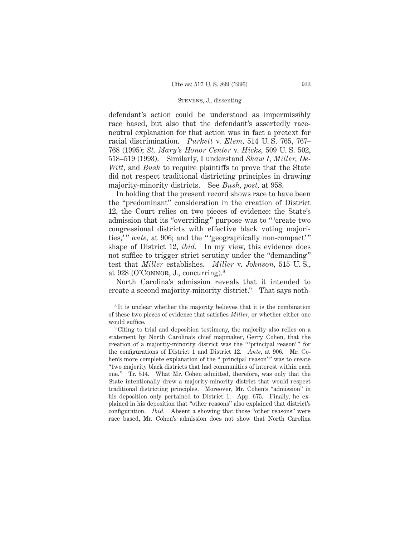defendant's action could be understood as impermissibly race based, but also that the defendant's assertedly raceneutral explanation for that action was in fact a pretext for racial discrimination. *Purkett* v. *Elem,* 514 U. S. 765, 767– 768 (1995); *St. Mary's Honor Center* v. *Hicks,* 509 U. S. 502, 518–519 (1993). Similarly, I understand *Shaw I, Miller, De-Witt,* and *Bush* to require plaintiffs to prove that the State did not respect traditional districting principles in drawing majority-minority districts. See *Bush, post,* at 958.

In holding that the present record shows race to have been the "predominant" consideration in the creation of District 12, the Court relies on two pieces of evidence: the State's admission that its "overriding" purpose was to " 'create two congressional districts with effective black voting majorities,'" *ante*, at 906; and the "'geographically non-compact'" shape of District 12, *ibid.* In my view, this evidence does not suffice to trigger strict scrutiny under the "demanding" test that *Miller* establishes. *Miller* v. *Johnson,* 515 U. S., at  $928$  (O'CONNOR, J., concurring).<sup>8</sup>

North Carolina's admission reveals that it intended to create a second majority-minority district.9 That says noth-

<sup>8</sup> It is unclear whether the majority believes that it is the combination of these two pieces of evidence that satisfies *Miller,* or whether either one would suffice.

<sup>9</sup> Citing to trial and deposition testimony, the majority also relies on a statement by North Carolina's chief mapmaker, Gerry Cohen, that the creation of a majority-minority district was the "'principal reason'" for the configurations of District 1 and District 12. *Ante,* at 906. Mr. Cohen's more complete explanation of the "'principal reason'" was to create "two majority black districts that had communities of interest within each one." Tr. 514. What Mr. Cohen admitted, therefore, was only that the State intentionally drew a majority-minority district that would respect traditional districting principles. Moreover, Mr. Cohen's "admission" in his deposition only pertained to District 1. App. 675. Finally, he explained in his deposition that "other reasons" also explained that district's configuration. *Ibid.* Absent a showing that those "other reasons" were race based, Mr. Cohen's admission does not show that North Carolina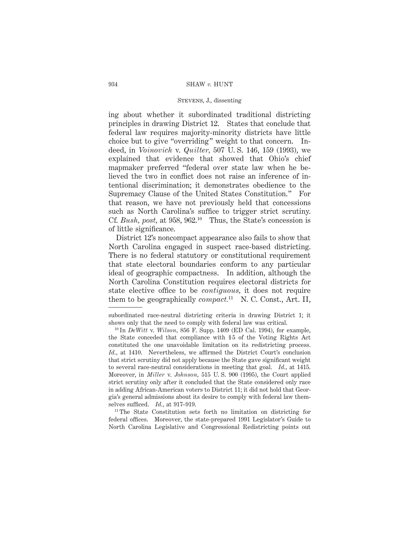ing about whether it subordinated traditional districting principles in drawing District 12. States that conclude that federal law requires majority-minority districts have little choice but to give "overriding" weight to that concern. Indeed, in *Voinovich* v. *Quilter,* 507 U. S. 146, 159 (1993), we explained that evidence that showed that Ohio's chief mapmaker preferred "federal over state law when he believed the two in conflict does not raise an inference of intentional discrimination; it demonstrates obedience to the Supremacy Clause of the United States Constitution." For that reason, we have not previously held that concessions such as North Carolina's suffice to trigger strict scrutiny. Cf. *Bush, post,* at 958, 962.10 Thus, the State's concession is of little significance.

District 12's noncompact appearance also fails to show that North Carolina engaged in suspect race-based districting. There is no federal statutory or constitutional requirement that state electoral boundaries conform to any particular ideal of geographic compactness. In addition, although the North Carolina Constitution requires electoral districts for state elective office to be *contiguous,* it does not require them to be geographically *compact.*<sup>11</sup> N. C. Const., Art. II,

<sup>11</sup> The State Constitution sets forth no limitation on districting for federal offices. Moreover, the state-prepared 1991 Legislator's Guide to North Carolina Legislative and Congressional Redistricting points out

subordinated race-neutral districting criteria in drawing District 1; it shows only that the need to comply with federal law was critical.

<sup>10</sup> In *DeWitt* v. *Wilson,* 856 F. Supp. 1409 (ED Cal. 1994), for example, the State conceded that compliance with § 5 of the Voting Rights Act constituted the one unavoidable limitation on its redistricting process. Id., at 1410. Nevertheless, we affirmed the District Court's conclusion that strict scrutiny did not apply because the State gave significant weight to several race-neutral considerations in meeting that goal. *Id.,* at 1415. Moreover, in *Miller* v. *Johnson,* 515 U. S. 900 (1995), the Court applied strict scrutiny only after it concluded that the State considered only race in adding African-American voters to District 11; it did not hold that Georgia's general admissions about its desire to comply with federal law themselves sufficed. *Id.,* at 917–919.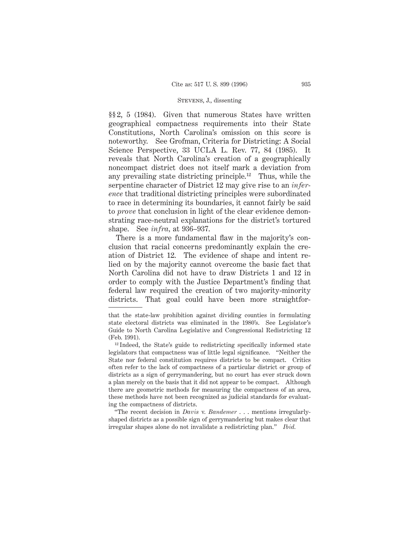§§ 2, 5 (1984). Given that numerous States have written geographical compactness requirements into their State Constitutions, North Carolina's omission on this score is noteworthy. See Grofman, Criteria for Districting: A Social Science Perspective, 33 UCLA L. Rev. 77, 84 (1985). It reveals that North Carolina's creation of a geographically noncompact district does not itself mark a deviation from any prevailing state districting principle.12 Thus, while the serpentine character of District 12 may give rise to an *inference* that traditional districting principles were subordinated to race in determining its boundaries, it cannot fairly be said to *prove* that conclusion in light of the clear evidence demonstrating race-neutral explanations for the district's tortured shape. See *infra,* at 936–937.

There is a more fundamental flaw in the majority's conclusion that racial concerns predominantly explain the creation of District 12. The evidence of shape and intent relied on by the majority cannot overcome the basic fact that North Carolina did not have to draw Districts 1 and 12 in order to comply with the Justice Department's finding that federal law required the creation of two majority-minority districts. That goal could have been more straightfor-

"The recent decision in *Davis* v. *Bandemer* . . . mentions irregularlyshaped districts as a possible sign of gerrymandering but makes clear that irregular shapes alone do not invalidate a redistricting plan." *Ibid.*

that the state-law prohibition against dividing counties in formulating state electoral districts was eliminated in the 1980's. See Legislator's Guide to North Carolina Legislative and Congressional Redistricting 12 (Feb. 1991).

<sup>&</sup>lt;sup>12</sup> Indeed, the State's guide to redistricting specifically informed state legislators that compactness was of little legal significance. "Neither the State nor federal constitution requires districts to be compact. Critics often refer to the lack of compactness of a particular district or group of districts as a sign of gerrymandering, but no court has ever struck down a plan merely on the basis that it did not appear to be compact. Although there are geometric methods for measuring the compactness of an area, these methods have not been recognized as judicial standards for evaluating the compactness of districts.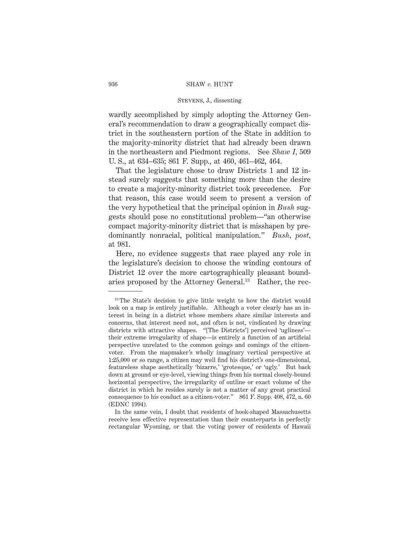wardly accomplished by simply adopting the Attorney General's recommendation to draw a geographically compact district in the southeastern portion of the State in addition to the majority-minority district that had already been drawn in the northeastern and Piedmont regions. See *Shaw I,* 509 U. S., at 634–635; 861 F. Supp., at 460, 461–462, 464.

That the legislature chose to draw Districts 1 and 12 instead surely suggests that something more than the desire to create a majority-minority district took precedence. For that reason, this case would seem to present a version of the very hypothetical that the principal opinion in *Bush* suggests should pose no constitutional problem—"an otherwise compact majority-minority district that is misshapen by predominantly nonracial, political manipulation." *Bush, post,* at 981.

Here, no evidence suggests that race played any role in the legislature's decision to choose the winding contours of District 12 over the more cartographically pleasant boundaries proposed by the Attorney General.13 Rather, the rec-

<sup>&</sup>lt;sup>13</sup> The State's decision to give little weight to how the district would look on a map is entirely justifiable. Although a voter clearly has an interest in being in a district whose members share similar interests and concerns, that interest need not, and often is not, vindicated by drawing districts with attractive shapes. "[The Districts'] perceived 'ugliness' their extreme irregularity of shape—is entirely a function of an artificial perspective unrelated to the common goings and comings of the citizenvoter. From the mapmaker's wholly imaginary vertical perspective at 1:25,000 or so range, a citizen may well find his district's one-dimensional, featureless shape aesthetically 'bizarre,' 'grotesque,' or 'ugly.' But back down at ground or eye-level, viewing things from his normal closely-bound horizontal perspective, the irregularity of outline or exact volume of the district in which he resides surely is not a matter of any great practical consequence to his conduct as a citizen-voter." 861 F. Supp. 408, 472, n. 60 (EDNC 1994).

In the same vein, I doubt that residents of hook-shaped Massachusetts receive less effective representation than their counterparts in perfectly rectangular Wyoming, or that the voting power of residents of Hawaii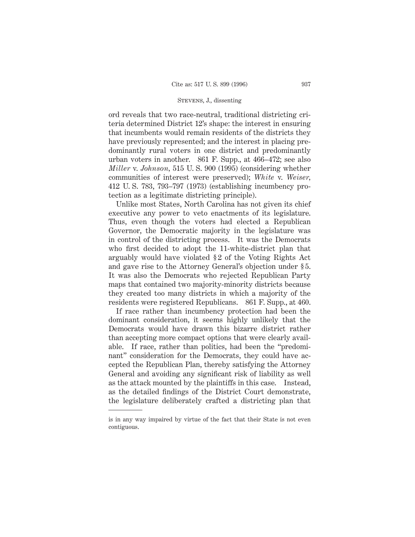ord reveals that two race-neutral, traditional districting criteria determined District 12's shape: the interest in ensuring that incumbents would remain residents of the districts they have previously represented; and the interest in placing predominantly rural voters in one district and predominantly urban voters in another. 861 F. Supp., at 466–472; see also *Miller* v. *Johnson,* 515 U. S. 900 (1995) (considering whether communities of interest were preserved); *White* v. *Weiser,* 412 U. S. 783, 793–797 (1973) (establishing incumbency protection as a legitimate districting principle).

Unlike most States, North Carolina has not given its chief executive any power to veto enactments of its legislature. Thus, even though the voters had elected a Republican Governor, the Democratic majority in the legislature was in control of the districting process. It was the Democrats who first decided to adopt the 11-white-district plan that arguably would have violated § 2 of the Voting Rights Act and gave rise to the Attorney General's objection under § 5. It was also the Democrats who rejected Republican Party maps that contained two majority-minority districts because they created too many districts in which a majority of the residents were registered Republicans. 861 F. Supp., at 460.

If race rather than incumbency protection had been the dominant consideration, it seems highly unlikely that the Democrats would have drawn this bizarre district rather than accepting more compact options that were clearly available. If race, rather than politics, had been the "predominant" consideration for the Democrats, they could have accepted the Republican Plan, thereby satisfying the Attorney General and avoiding any significant risk of liability as well as the attack mounted by the plaintiffs in this case. Instead, as the detailed findings of the District Court demonstrate, the legislature deliberately crafted a districting plan that

is in any way impaired by virtue of the fact that their State is not even contiguous.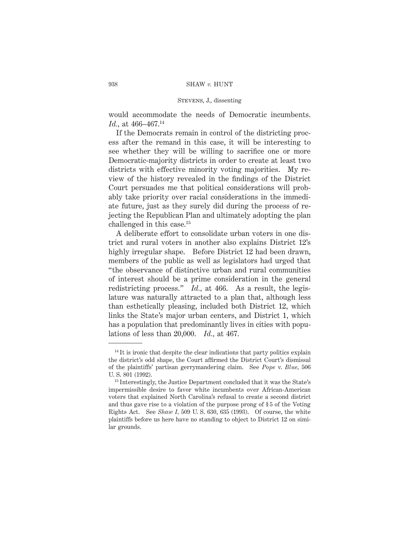would accommodate the needs of Democratic incumbents. *Id.*, at 466–467.<sup>14</sup>

If the Democrats remain in control of the districting process after the remand in this case, it will be interesting to see whether they will be willing to sacrifice one or more Democratic-majority districts in order to create at least two districts with effective minority voting majorities. My review of the history revealed in the findings of the District Court persuades me that political considerations will probably take priority over racial considerations in the immediate future, just as they surely did during the process of rejecting the Republican Plan and ultimately adopting the plan challenged in this case.15

A deliberate effort to consolidate urban voters in one district and rural voters in another also explains District 12's highly irregular shape. Before District 12 had been drawn, members of the public as well as legislators had urged that "the observance of distinctive urban and rural communities of interest should be a prime consideration in the general redistricting process." *Id.,* at 466. As a result, the legislature was naturally attracted to a plan that, although less than esthetically pleasing, included both District 12, which links the State's major urban centers, and District 1, which has a population that predominantly lives in cities with populations of less than 20,000. *Id.,* at 467.

 $14$  It is ironic that despite the clear indications that party politics explain the district's odd shape, the Court affirmed the District Court's dismissal of the plaintiffs' partisan gerrymandering claim. See *Pope* v. *Blue,* 506 U. S. 801 (1992).

<sup>&</sup>lt;sup>15</sup> Interestingly, the Justice Department concluded that it was the State's impermissible desire to favor white incumbents over African-American voters that explained North Carolina's refusal to create a second district and thus gave rise to a violation of the purpose prong of § 5 of the Voting Rights Act. See *Shaw I,* 509 U. S. 630, 635 (1993). Of course, the white plaintiffs before us here have no standing to object to District 12 on similar grounds.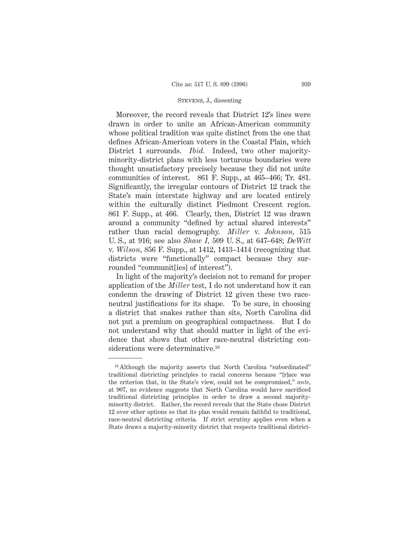Moreover, the record reveals that District 12's lines were drawn in order to unite an African-American community whose political tradition was quite distinct from the one that defines African-American voters in the Coastal Plain, which District 1 surrounds. *Ibid.* Indeed, two other majorityminority-district plans with less torturous boundaries were thought unsatisfactory precisely because they did not unite communities of interest. 861 F. Supp., at 465–466; Tr. 481. Significantly, the irregular contours of District 12 track the State's main interstate highway and are located entirely within the culturally distinct Piedmont Crescent region. 861 F. Supp., at 466. Clearly, then, District 12 was drawn around a community "defined by actual shared interests" rather than racial demography. *Miller* v. *Johnson,* 515 U. S., at 916; see also *Shaw I,* 509 U. S., at 647–648; *DeWitt* v. *Wilson,* 856 F. Supp., at 1412, 1413–1414 (recognizing that districts were "functionally" compact because they surrounded "communit[ies] of interest").

In light of the majority's decision not to remand for proper application of the *Miller* test, I do not understand how it can condemn the drawing of District 12 given these two raceneutral justifications for its shape. To be sure, in choosing a district that snakes rather than sits, North Carolina did not put a premium on geographical compactness. But I do not understand why that should matter in light of the evidence that shows that other race-neutral districting considerations were determinative.<sup>16</sup>

<sup>&</sup>lt;sup>16</sup> Although the majority asserts that North Carolina "subordinated" traditional districting principles to racial concerns because "[r]ace was the criterion that, in the State's view, could not be compromised," *ante,* at 907, no evidence suggests that North Carolina would have sacrificed traditional districting principles in order to draw a second majorityminority district. Rather, the record reveals that the State chose District 12 over other options so that its plan would remain faithful to traditional, race-neutral districting criteria. If strict scrutiny applies even when a State draws a majority-minority district that respects traditional district-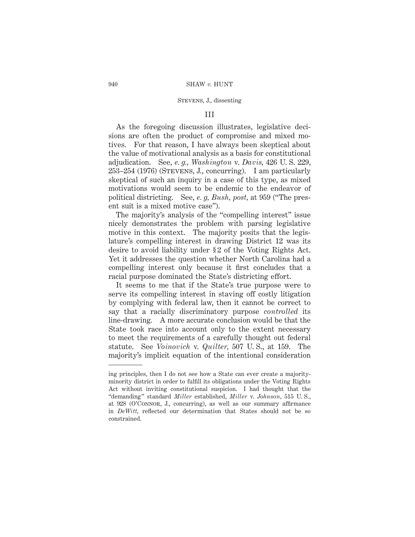# III

As the foregoing discussion illustrates, legislative decisions are often the product of compromise and mixed motives. For that reason, I have always been skeptical about the value of motivational analysis as a basis for constitutional adjudication. See, *e. g., Washington* v. *Davis,* 426 U. S. 229, 253–254 (1976) (Stevens, J., concurring). I am particularly skeptical of such an inquiry in a case of this type, as mixed motivations would seem to be endemic to the endeavor of political districting. See, *e. g, Bush, post,* at 959 ("The present suit is a mixed motive case").

The majority's analysis of the "compelling interest" issue nicely demonstrates the problem with parsing legislative motive in this context. The majority posits that the legislature's compelling interest in drawing District 12 was its desire to avoid liability under § 2 of the Voting Rights Act. Yet it addresses the question whether North Carolina had a compelling interest only because it first concludes that a racial purpose dominated the State's districting effort.

It seems to me that if the State's true purpose were to serve its compelling interest in staving off costly litigation by complying with federal law, then it cannot be correct to say that a racially discriminatory purpose *controlled* its line-drawing. A more accurate conclusion would be that the State took race into account only to the extent necessary to meet the requirements of a carefully thought out federal statute. See *Voinovich* v. *Quilter,* 507 U. S., at 159. The majority's implicit equation of the intentional consideration

ing principles, then I do not see how a State can ever create a majorityminority district in order to fulfill its obligations under the Voting Rights Act without inviting constitutional suspicion. I had thought that the "demanding" standard *Miller* established, *Miller* v. *Johnson,* 515 U. S., at 928 (O'Connor, J., concurring), as well as our summary affirmance in *DeWitt,* reflected our determination that States should not be so constrained.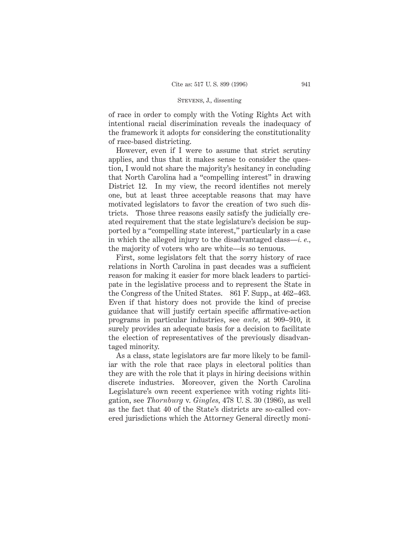of race in order to comply with the Voting Rights Act with intentional racial discrimination reveals the inadequacy of the framework it adopts for considering the constitutionality of race-based districting.

However, even if I were to assume that strict scrutiny applies, and thus that it makes sense to consider the question, I would not share the majority's hesitancy in concluding that North Carolina had a "compelling interest" in drawing District 12. In my view, the record identifies not merely one, but at least three acceptable reasons that may have motivated legislators to favor the creation of two such districts. Those three reasons easily satisfy the judicially created requirement that the state legislature's decision be supported by a "compelling state interest," particularly in a case in which the alleged injury to the disadvantaged class—*i. e.,* the majority of voters who are white—is so tenuous.

First, some legislators felt that the sorry history of race relations in North Carolina in past decades was a sufficient reason for making it easier for more black leaders to participate in the legislative process and to represent the State in the Congress of the United States. 861 F. Supp., at 462–463. Even if that history does not provide the kind of precise guidance that will justify certain specific affirmative-action programs in particular industries, see *ante,* at 909–910, it surely provides an adequate basis for a decision to facilitate the election of representatives of the previously disadvantaged minority.

As a class, state legislators are far more likely to be familiar with the role that race plays in electoral politics than they are with the role that it plays in hiring decisions within discrete industries. Moreover, given the North Carolina Legislature's own recent experience with voting rights litigation, see *Thornburg* v. *Gingles,* 478 U. S. 30 (1986), as well as the fact that 40 of the State's districts are so-called covered jurisdictions which the Attorney General directly moni-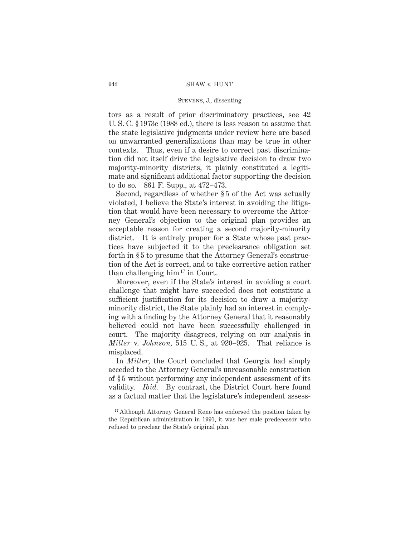tors as a result of prior discriminatory practices, see 42 U. S. C. § 1973c (1988 ed.), there is less reason to assume that the state legislative judgments under review here are based on unwarranted generalizations than may be true in other contexts. Thus, even if a desire to correct past discrimination did not itself drive the legislative decision to draw two majority-minority districts, it plainly constituted a legitimate and significant additional factor supporting the decision to do so. 861 F. Supp., at 472–473.

Second, regardless of whether § 5 of the Act was actually violated, I believe the State's interest in avoiding the litigation that would have been necessary to overcome the Attorney General's objection to the original plan provides an acceptable reason for creating a second majority-minority district. It is entirely proper for a State whose past practices have subjected it to the preclearance obligation set forth in § 5 to presume that the Attorney General's construction of the Act is correct, and to take corrective action rather than challenging him <sup>17</sup> in Court.

Moreover, even if the State's interest in avoiding a court challenge that might have succeeded does not constitute a sufficient justification for its decision to draw a majorityminority district, the State plainly had an interest in complying with a finding by the Attorney General that it reasonably believed could not have been successfully challenged in court. The majority disagrees, relying on our analysis in *Miller* v. *Johnson,* 515 U. S., at 920–925. That reliance is misplaced.

In *Miller,* the Court concluded that Georgia had simply acceded to the Attorney General's unreasonable construction of § 5 without performing any independent assessment of its validity. *Ibid.* By contrast, the District Court here found as a factual matter that the legislature's independent assess-

<sup>&</sup>lt;sup>17</sup> Although Attorney General Reno has endorsed the position taken by the Republican administration in 1991, it was her male predecessor who refused to preclear the State's original plan.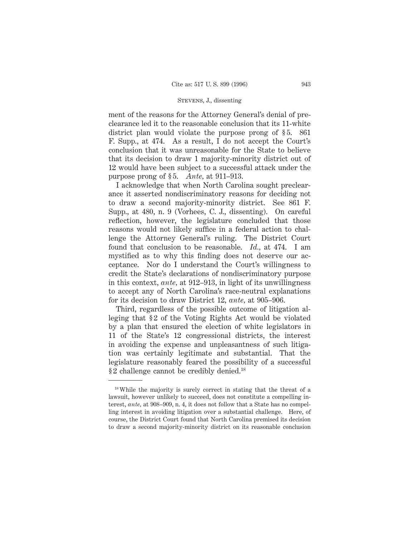ment of the reasons for the Attorney General's denial of preclearance led it to the reasonable conclusion that its 11-white district plan would violate the purpose prong of §5. 861 F. Supp., at 474. As a result, I do not accept the Court's conclusion that it was unreasonable for the State to believe that its decision to draw 1 majority-minority district out of 12 would have been subject to a successful attack under the purpose prong of § 5. *Ante,* at 911–913.

I acknowledge that when North Carolina sought preclearance it asserted nondiscriminatory reasons for deciding not to draw a second majority-minority district. See 861 F. Supp., at 480, n. 9 (Vorhees, C. J., dissenting). On careful reflection, however, the legislature concluded that those reasons would not likely suffice in a federal action to challenge the Attorney General's ruling. The District Court found that conclusion to be reasonable. *Id.,* at 474. I am mystified as to why this finding does not deserve our acceptance. Nor do I understand the Court's willingness to credit the State's declarations of nondiscriminatory purpose in this context, *ante,* at 912–913, in light of its unwillingness to accept any of North Carolina's race-neutral explanations for its decision to draw District 12, *ante,* at 905–906.

Third, regardless of the possible outcome of litigation alleging that § 2 of the Voting Rights Act would be violated by a plan that ensured the election of white legislators in 11 of the State's 12 congressional districts, the interest in avoiding the expense and unpleasantness of such litigation was certainly legitimate and substantial. That the legislature reasonably feared the possibility of a successful § 2 challenge cannot be credibly denied.18

<sup>&</sup>lt;sup>18</sup> While the majority is surely correct in stating that the threat of a lawsuit, however unlikely to succeed, does not constitute a compelling interest, *ante,* at 908–909, n. 4, it does not follow that a State has no compelling interest in avoiding litigation over a substantial challenge. Here, of course, the District Court found that North Carolina premised its decision to draw a second majority-minority district on its reasonable conclusion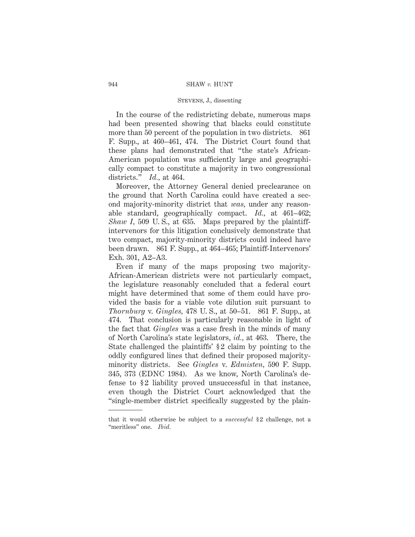In the course of the redistricting debate, numerous maps had been presented showing that blacks could constitute more than 50 percent of the population in two districts. 861 F. Supp., at 460–461, 474. The District Court found that these plans had demonstrated that "the state's African-American population was sufficiently large and geographically compact to constitute a majority in two congressional districts." *Id.,* at 464.

Moreover, the Attorney General denied preclearance on the ground that North Carolina could have created a second majority-minority district that *was,* under any reasonable standard, geographically compact. *Id.,* at 461–462; *Shaw I,* 509 U.S., at 635. Maps prepared by the plaintiffintervenors for this litigation conclusively demonstrate that two compact, majority-minority districts could indeed have been drawn. 861 F. Supp., at 464–465; Plaintiff-Intervenors' Exh. 301, A2–A3.

Even if many of the maps proposing two majority-African-American districts were not particularly compact, the legislature reasonably concluded that a federal court might have determined that some of them could have provided the basis for a viable vote dilution suit pursuant to *Thornburg* v. *Gingles,* 478 U. S., at 50–51. 861 F. Supp., at 474. That conclusion is particularly reasonable in light of the fact that *Gingles* was a case fresh in the minds of many of North Carolina's state legislators, *id.,* at 463. There, the State challenged the plaintiffs' §2 claim by pointing to the oddly configured lines that defined their proposed majorityminority districts. See *Gingles* v. *Edmisten,* 590 F. Supp. 345, 373 (EDNC 1984). As we know, North Carolina's defense to §2 liability proved unsuccessful in that instance, even though the District Court acknowledged that the "single-member district specifically suggested by the plain-

that it would otherwise be subject to a *successful* §2 challenge, not a "meritless" one. *Ibid.*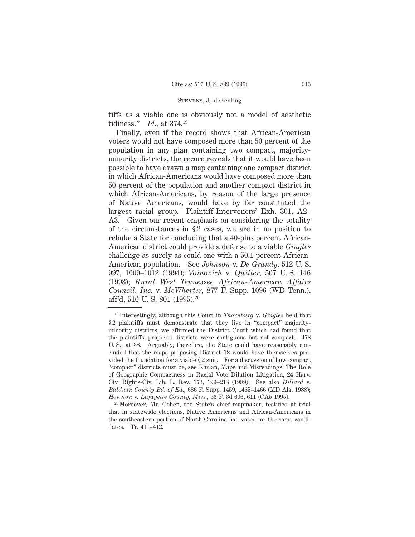tiffs as a viable one is obviously not a model of aesthetic tidiness." *Id.,* at 374.19

Finally, even if the record shows that African-American voters would not have composed more than 50 percent of the population in any plan containing two compact, majorityminority districts, the record reveals that it would have been possible to have drawn a map containing one compact district in which African-Americans would have composed more than 50 percent of the population and another compact district in which African-Americans, by reason of the large presence of Native Americans, would have by far constituted the largest racial group. Plaintiff-Intervenors' Exh. 301, A2– A3. Given our recent emphasis on considering the totality of the circumstances in § 2 cases, we are in no position to rebuke a State for concluding that a 40-plus percent African-American district could provide a defense to a viable *Gingles* challenge as surely as could one with a 50.1 percent African-American population. See *Johnson* v. *De Grandy,* 512 U. S. 997, 1009–1012 (1994); *Voinovich* v. *Quilter,* 507 U. S. 146 (1993); *Rural West Tennessee African-American Affairs Council, Inc.* v. *McWherter,* 877 F. Supp. 1096 (WD Tenn.), aff'd, 516 U. S. 801 (1995).20

<sup>19</sup> Interestingly, although this Court in *Thornburg* v. *Gingles* held that § 2 plaintiffs must demonstrate that they live in "compact" majorityminority districts, we affirmed the District Court which had found that the plaintiffs' proposed districts were contiguous but not compact. 478 U. S., at 38. Arguably, therefore, the State could have reasonably concluded that the maps proposing District 12 would have themselves provided the foundation for a viable  $\S 2$  suit. For a discussion of how compact "compact" districts must be, see Karlan, Maps and Misreadings: The Role of Geographic Compactness in Racial Vote Dilution Litigation, 24 Harv. Civ. Rights-Civ. Lib. L. Rev. 173, 199–213 (1989). See also *Dillard* v. *Baldwin County Bd. of Ed.,* 686 F. Supp. 1459, 1465–1466 (MD Ala. 1988); *Houston* v. *Lafayette County, Miss.,* 56 F. 3d 606, 611 (CA5 1995).

<sup>20</sup> Moreover, Mr. Cohen, the State's chief mapmaker, testified at trial that in statewide elections, Native Americans and African-Americans in the southeastern portion of North Carolina had voted for the same candidates. Tr. 411–412.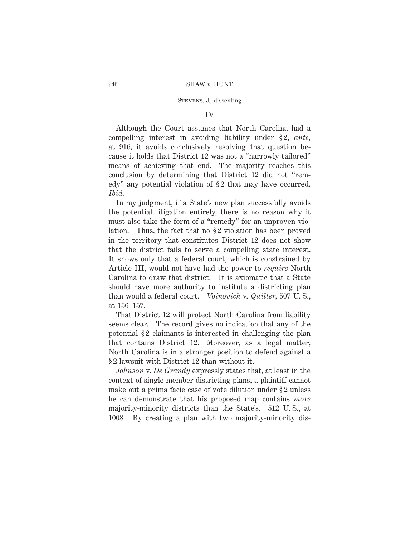# IV

Although the Court assumes that North Carolina had a compelling interest in avoiding liability under § 2, *ante,* at 916, it avoids conclusively resolving that question because it holds that District 12 was not a "narrowly tailored" means of achieving that end. The majority reaches this conclusion by determining that District 12 did not "remedy" any potential violation of § 2 that may have occurred. *Ibid.*

In my judgment, if a State's new plan successfully avoids the potential litigation entirely, there is no reason why it must also take the form of a "remedy" for an unproven violation. Thus, the fact that no § 2 violation has been proved in the territory that constitutes District 12 does not show that the district fails to serve a compelling state interest. It shows only that a federal court, which is constrained by Article III, would not have had the power to *require* North Carolina to draw that district. It is axiomatic that a State should have more authority to institute a districting plan than would a federal court. *Voinovich* v. *Quilter,* 507 U. S., at 156–157.

That District 12 will protect North Carolina from liability seems clear. The record gives no indication that any of the potential § 2 claimants is interested in challenging the plan that contains District 12. Moreover, as a legal matter, North Carolina is in a stronger position to defend against a § 2 lawsuit with District 12 than without it.

*Johnson* v. *De Grandy* expressly states that, at least in the context of single-member districting plans, a plaintiff cannot make out a prima facie case of vote dilution under §2 unless he can demonstrate that his proposed map contains *more* majority-minority districts than the State's. 512 U. S., at 1008. By creating a plan with two majority-minority dis-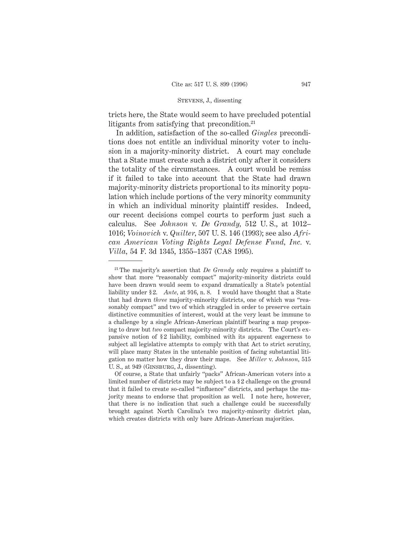tricts here, the State would seem to have precluded potential litigants from satisfying that precondition.<sup>21</sup>

In addition, satisfaction of the so-called *Gingles* preconditions does not entitle an individual minority voter to inclusion in a majority-minority district. A court may conclude that a State must create such a district only after it considers the totality of the circumstances. A court would be remiss if it failed to take into account that the State had drawn majority-minority districts proportional to its minority population which include portions of the very minority community in which an individual minority plaintiff resides. Indeed, our recent decisions compel courts to perform just such a calculus. See *Johnson* v. *De Grandy,* 512 U. S., at 1012– 1016; *Voinovich* v. *Quilter,* 507 U. S. 146 (1993); see also *African American Voting Rights Legal Defense Fund, Inc.* v. *Villa,* 54 F. 3d 1345, 1355–1357 (CA8 1995).

<sup>21</sup> The majority's assertion that *De Grandy* only requires a plaintiff to show that more "reasonably compact" majority-minority districts could have been drawn would seem to expand dramatically a State's potential liability under § 2. *Ante,* at 916, n. 8. I would have thought that a State that had drawn *three* majority-minority districts, one of which was "reasonably compact" and two of which straggled in order to preserve certain distinctive communities of interest, would at the very least be immune to a challenge by a single African-American plaintiff bearing a map proposing to draw but *two* compact majority-minority districts. The Court's expansive notion of  $\S 2$  liability, combined with its apparent eagerness to subject all legislative attempts to comply with that Act to strict scrutiny, will place many States in the untenable position of facing substantial litigation no matter how they draw their maps. See *Miller* v. *Johnson,* 515 U. S., at 949 (Ginsburg, J., dissenting).

Of course, a State that unfairly "packs" African-American voters into a limited number of districts may be subject to a § 2 challenge on the ground that it failed to create so-called "influence" districts, and perhaps the majority means to endorse that proposition as well. I note here, however, that there is no indication that such a challenge could be successfully brought against North Carolina's two majority-minority district plan, which creates districts with only bare African-American majorities.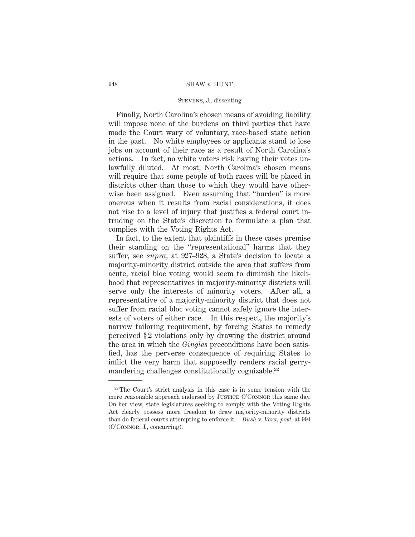### 948 SHAW *v.* HUNT

# Stevens, J., dissenting

Finally, North Carolina's chosen means of avoiding liability will impose none of the burdens on third parties that have made the Court wary of voluntary, race-based state action in the past. No white employees or applicants stand to lose jobs on account of their race as a result of North Carolina's actions. In fact, no white voters risk having their votes unlawfully diluted. At most, North Carolina's chosen means will require that some people of both races will be placed in districts other than those to which they would have otherwise been assigned. Even assuming that "burden" is more onerous when it results from racial considerations, it does not rise to a level of injury that justifies a federal court intruding on the State's discretion to formulate a plan that complies with the Voting Rights Act.

In fact, to the extent that plaintiffs in these cases premise their standing on the "representational" harms that they suffer, see *supra,* at 927–928, a State's decision to locate a majority-minority district outside the area that suffers from acute, racial bloc voting would seem to diminish the likelihood that representatives in majority-minority districts will serve only the interests of minority voters. After all, a representative of a majority-minority district that does not suffer from racial bloc voting cannot safely ignore the interests of voters of either race. In this respect, the majority's narrow tailoring requirement, by forcing States to remedy perceived § 2 violations only by drawing the district around the area in which the *Gingles* preconditions have been satisfied, has the perverse consequence of requiring States to inflict the very harm that supposedly renders racial gerrymandering challenges constitutionally cognizable.<sup>22</sup>

 $22$ <sup>22</sup> The Court's strict analysis in this case is in some tension with the more reasonable approach endorsed by JUSTICE O'CONNOR this same day. On her view, state legislatures seeking to comply with the Voting Rights Act clearly possess more freedom to draw majority-minority districts than do federal courts attempting to enforce it. *Bush* v. *Vera, post,* at 994 (O'Connor, J., concurring).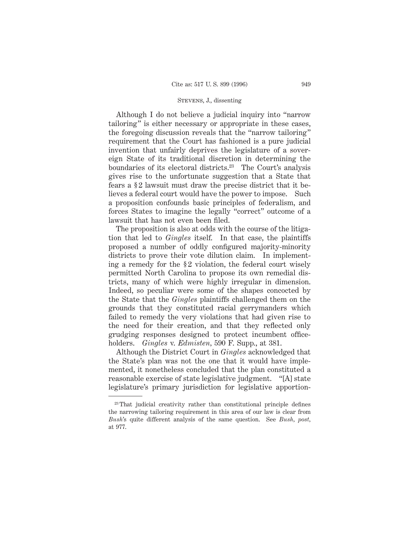Although I do not believe a judicial inquiry into "narrow tailoring" is either necessary or appropriate in these cases, the foregoing discussion reveals that the "narrow tailoring" requirement that the Court has fashioned is a pure judicial invention that unfairly deprives the legislature of a sovereign State of its traditional discretion in determining the boundaries of its electoral districts.23 The Court's analysis gives rise to the unfortunate suggestion that a State that fears a § 2 lawsuit must draw the precise district that it believes a federal court would have the power to impose. Such a proposition confounds basic principles of federalism, and forces States to imagine the legally "correct" outcome of a lawsuit that has not even been filed.

The proposition is also at odds with the course of the litigation that led to *Gingles* itself. In that case, the plaintiffs proposed a number of oddly configured majority-minority districts to prove their vote dilution claim. In implementing a remedy for the §2 violation, the federal court wisely permitted North Carolina to propose its own remedial districts, many of which were highly irregular in dimension. Indeed, so peculiar were some of the shapes concocted by the State that the *Gingles* plaintiffs challenged them on the grounds that they constituted racial gerrymanders which failed to remedy the very violations that had given rise to the need for their creation, and that they reflected only grudging responses designed to protect incumbent officeholders. *Gingles* v. *Edmisten,* 590 F. Supp., at 381.

Although the District Court in *Gingles* acknowledged that the State's plan was not the one that it would have implemented, it nonetheless concluded that the plan constituted a reasonable exercise of state legislative judgment. "[A] state legislature's primary jurisdiction for legislative apportion-

<sup>23</sup> That judicial creativity rather than constitutional principle defines the narrowing tailoring requirement in this area of our law is clear from *Bush*'s quite different analysis of the same question. See *Bush, post,* at 977.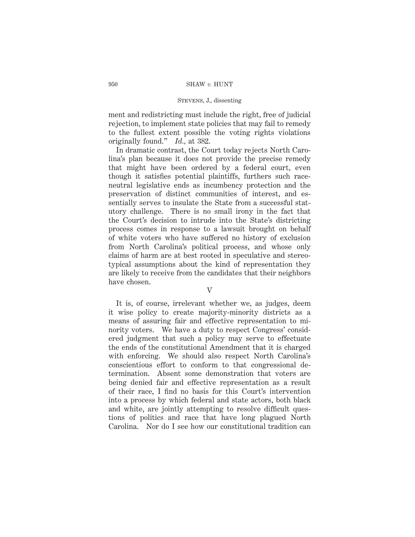ment and redistricting must include the right, free of judicial rejection, to implement state policies that may fail to remedy to the fullest extent possible the voting rights violations originally found." *Id.,* at 382.

In dramatic contrast, the Court today rejects North Carolina's plan because it does not provide the precise remedy that might have been ordered by a federal court, even though it satisfies potential plaintiffs, furthers such raceneutral legislative ends as incumbency protection and the preservation of distinct communities of interest, and essentially serves to insulate the State from a successful statutory challenge. There is no small irony in the fact that the Court's decision to intrude into the State's districting process comes in response to a lawsuit brought on behalf of white voters who have suffered no history of exclusion from North Carolina's political process, and whose only claims of harm are at best rooted in speculative and stereotypical assumptions about the kind of representation they are likely to receive from the candidates that their neighbors have chosen.

V

It is, of course, irrelevant whether we, as judges, deem it wise policy to create majority-minority districts as a means of assuring fair and effective representation to minority voters. We have a duty to respect Congress' considered judgment that such a policy may serve to effectuate the ends of the constitutional Amendment that it is charged with enforcing. We should also respect North Carolina's conscientious effort to conform to that congressional determination. Absent some demonstration that voters are being denied fair and effective representation as a result of their race, I find no basis for this Court's intervention into a process by which federal and state actors, both black and white, are jointly attempting to resolve difficult questions of politics and race that have long plagued North Carolina. Nor do I see how our constitutional tradition can